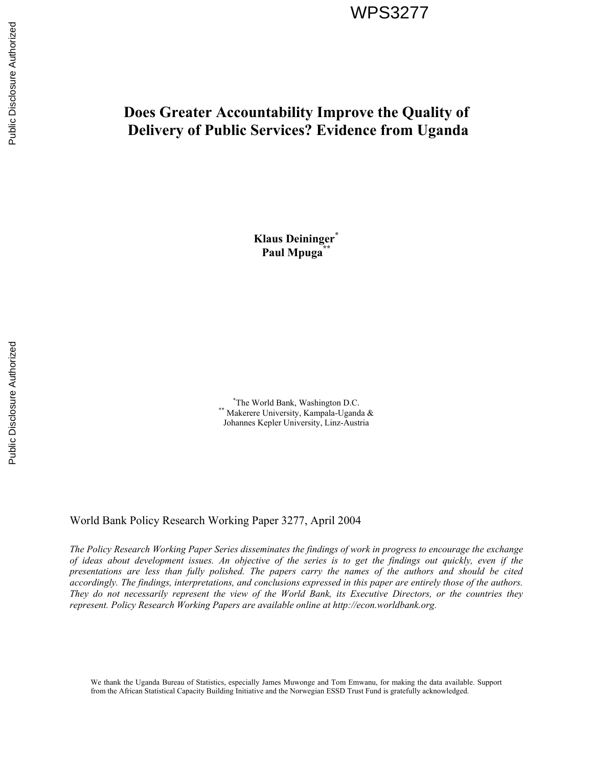# **Does Greater Accountability Improve the Quality of Delivery of Public Services? Evidence from Uganda**

**Klaus Deininger\*** Paul Mpuga<sup>\*</sup>

<sup>\*</sup>The World Bank, Washington D.C. \*\* Makerere University, Kampala-Uganda & Johannes Kepler University, Linz-Austria

World Bank Policy Research Working Paper 3277, April 2004

*The Policy Research Working Paper Series disseminates the findings of work in progress to encourage the exchange of ideas about development issues. An objective of the series is to get the findings out quickly, even if the presentations are less than fully polished. The papers carry the names of the authors and should be cited accordingly. The findings, interpretations, and conclusions expressed in this paper are entirely those of the authors. They do not necessarily represent the view of the World Bank, its Executive Directors, or the countries they represent. Policy Research Working Papers are available online at http://econ.worldbank.org.* 

We thank the Uganda Bureau of Statistics, especially James Muwonge and Tom Emwanu, for making the data available. Support from the African Statistical Capacity Building Initiative and the Norwegian ESSD Trust Fund is gratefully acknowledged.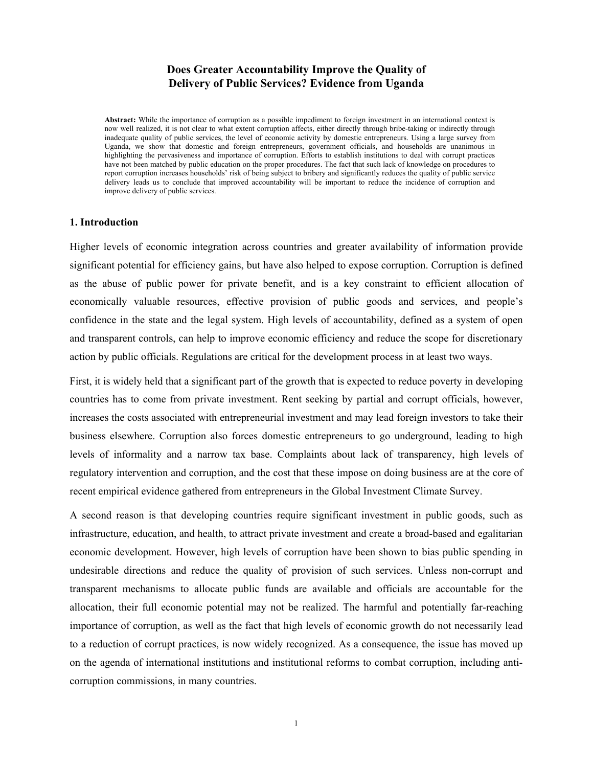## **Does Greater Accountability Improve the Quality of Delivery of Public Services? Evidence from Uganda**

**Abstract:** While the importance of corruption as a possible impediment to foreign investment in an international context is now well realized, it is not clear to what extent corruption affects, either directly through bribe-taking or indirectly through inadequate quality of public services, the level of economic activity by domestic entrepreneurs. Using a large survey from Uganda, we show that domestic and foreign entrepreneurs, government officials, and households are unanimous in highlighting the pervasiveness and importance of corruption. Efforts to establish institutions to deal with corrupt practices have not been matched by public education on the proper procedures. The fact that such lack of knowledge on procedures to report corruption increases households' risk of being subject to bribery and significantly reduces the quality of public service delivery leads us to conclude that improved accountability will be important to reduce the incidence of corruption and improve delivery of public services.

#### **1. Introduction**

Higher levels of economic integration across countries and greater availability of information provide significant potential for efficiency gains, but have also helped to expose corruption. Corruption is defined as the abuse of public power for private benefit, and is a key constraint to efficient allocation of economically valuable resources, effective provision of public goods and services, and people's confidence in the state and the legal system. High levels of accountability, defined as a system of open and transparent controls, can help to improve economic efficiency and reduce the scope for discretionary action by public officials. Regulations are critical for the development process in at least two ways.

First, it is widely held that a significant part of the growth that is expected to reduce poverty in developing countries has to come from private investment. Rent seeking by partial and corrupt officials, however, increases the costs associated with entrepreneurial investment and may lead foreign investors to take their business elsewhere. Corruption also forces domestic entrepreneurs to go underground, leading to high levels of informality and a narrow tax base. Complaints about lack of transparency, high levels of regulatory intervention and corruption, and the cost that these impose on doing business are at the core of recent empirical evidence gathered from entrepreneurs in the Global Investment Climate Survey.

A second reason is that developing countries require significant investment in public goods, such as infrastructure, education, and health, to attract private investment and create a broad-based and egalitarian economic development. However, high levels of corruption have been shown to bias public spending in undesirable directions and reduce the quality of provision of such services. Unless non-corrupt and transparent mechanisms to allocate public funds are available and officials are accountable for the allocation, their full economic potential may not be realized. The harmful and potentially far-reaching importance of corruption, as well as the fact that high levels of economic growth do not necessarily lead to a reduction of corrupt practices, is now widely recognized. As a consequence, the issue has moved up on the agenda of international institutions and institutional reforms to combat corruption, including anticorruption commissions, in many countries.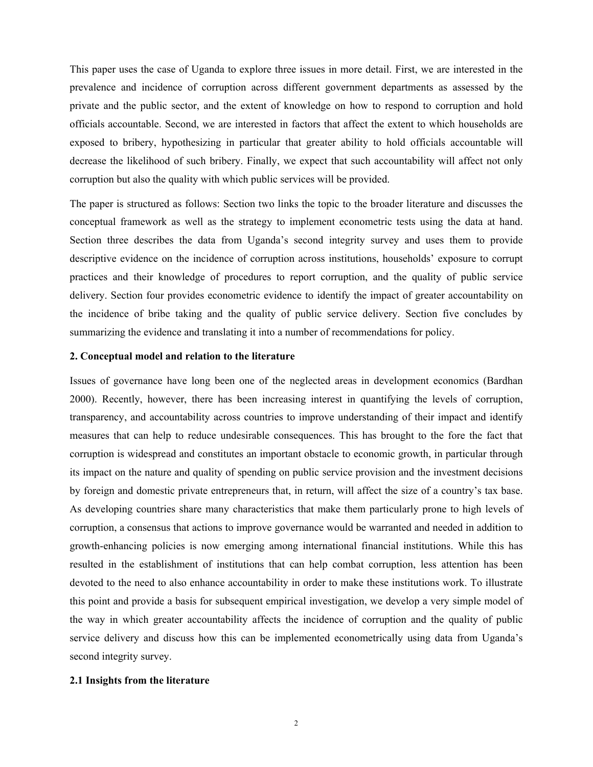This paper uses the case of Uganda to explore three issues in more detail. First, we are interested in the prevalence and incidence of corruption across different government departments as assessed by the private and the public sector, and the extent of knowledge on how to respond to corruption and hold officials accountable. Second, we are interested in factors that affect the extent to which households are exposed to bribery, hypothesizing in particular that greater ability to hold officials accountable will decrease the likelihood of such bribery. Finally, we expect that such accountability will affect not only corruption but also the quality with which public services will be provided.

The paper is structured as follows: Section two links the topic to the broader literature and discusses the conceptual framework as well as the strategy to implement econometric tests using the data at hand. Section three describes the data from Uganda's second integrity survey and uses them to provide descriptive evidence on the incidence of corruption across institutions, households' exposure to corrupt practices and their knowledge of procedures to report corruption, and the quality of public service delivery. Section four provides econometric evidence to identify the impact of greater accountability on the incidence of bribe taking and the quality of public service delivery. Section five concludes by summarizing the evidence and translating it into a number of recommendations for policy.

## **2. Conceptual model and relation to the literature**

Issues of governance have long been one of the neglected areas in development economics (Bardhan 2000). Recently, however, there has been increasing interest in quantifying the levels of corruption, transparency, and accountability across countries to improve understanding of their impact and identify measures that can help to reduce undesirable consequences. This has brought to the fore the fact that corruption is widespread and constitutes an important obstacle to economic growth, in particular through its impact on the nature and quality of spending on public service provision and the investment decisions by foreign and domestic private entrepreneurs that, in return, will affect the size of a country's tax base. As developing countries share many characteristics that make them particularly prone to high levels of corruption, a consensus that actions to improve governance would be warranted and needed in addition to growth-enhancing policies is now emerging among international financial institutions. While this has resulted in the establishment of institutions that can help combat corruption, less attention has been devoted to the need to also enhance accountability in order to make these institutions work. To illustrate this point and provide a basis for subsequent empirical investigation, we develop a very simple model of the way in which greater accountability affects the incidence of corruption and the quality of public service delivery and discuss how this can be implemented econometrically using data from Uganda's second integrity survey.

#### **2.1 Insights from the literature**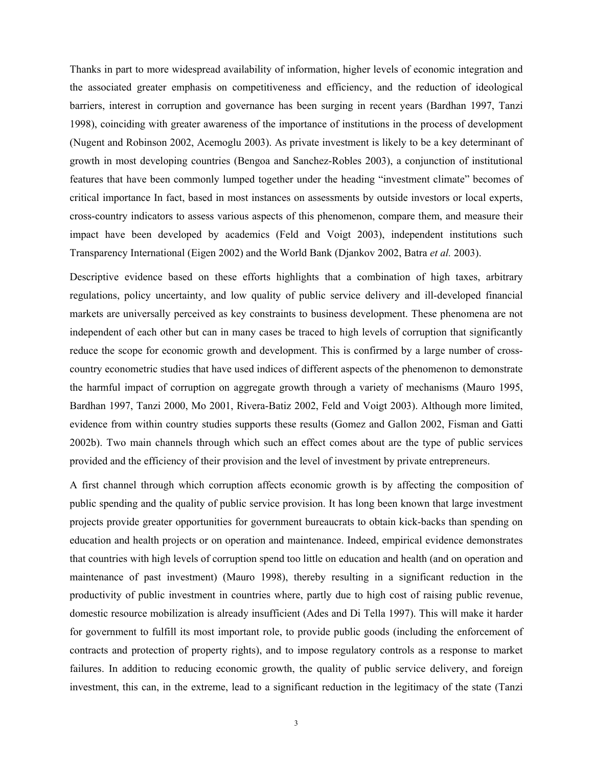Thanks in part to more widespread availability of information, higher levels of economic integration and the associated greater emphasis on competitiveness and efficiency, and the reduction of ideological barriers, interest in corruption and governance has been surging in recent years (Bardhan 1997, Tanzi 1998), coinciding with greater awareness of the importance of institutions in the process of development (Nugent and Robinson 2002, Acemoglu 2003). As private investment is likely to be a key determinant of growth in most developing countries (Bengoa and Sanchez-Robles 2003), a conjunction of institutional features that have been commonly lumped together under the heading "investment climate" becomes of critical importance In fact, based in most instances on assessments by outside investors or local experts, cross-country indicators to assess various aspects of this phenomenon, compare them, and measure their impact have been developed by academics (Feld and Voigt 2003), independent institutions such Transparency International (Eigen 2002) and the World Bank (Djankov 2002, Batra *et al.* 2003).

Descriptive evidence based on these efforts highlights that a combination of high taxes, arbitrary regulations, policy uncertainty, and low quality of public service delivery and ill-developed financial markets are universally perceived as key constraints to business development. These phenomena are not independent of each other but can in many cases be traced to high levels of corruption that significantly reduce the scope for economic growth and development. This is confirmed by a large number of crosscountry econometric studies that have used indices of different aspects of the phenomenon to demonstrate the harmful impact of corruption on aggregate growth through a variety of mechanisms (Mauro 1995, Bardhan 1997, Tanzi 2000, Mo 2001, Rivera-Batiz 2002, Feld and Voigt 2003). Although more limited, evidence from within country studies supports these results (Gomez and Gallon 2002, Fisman and Gatti 2002b). Two main channels through which such an effect comes about are the type of public services provided and the efficiency of their provision and the level of investment by private entrepreneurs.

A first channel through which corruption affects economic growth is by affecting the composition of public spending and the quality of public service provision. It has long been known that large investment projects provide greater opportunities for government bureaucrats to obtain kick-backs than spending on education and health projects or on operation and maintenance. Indeed, empirical evidence demonstrates that countries with high levels of corruption spend too little on education and health (and on operation and maintenance of past investment) (Mauro 1998), thereby resulting in a significant reduction in the productivity of public investment in countries where, partly due to high cost of raising public revenue, domestic resource mobilization is already insufficient (Ades and Di Tella 1997). This will make it harder for government to fulfill its most important role, to provide public goods (including the enforcement of contracts and protection of property rights), and to impose regulatory controls as a response to market failures. In addition to reducing economic growth, the quality of public service delivery, and foreign investment, this can, in the extreme, lead to a significant reduction in the legitimacy of the state (Tanzi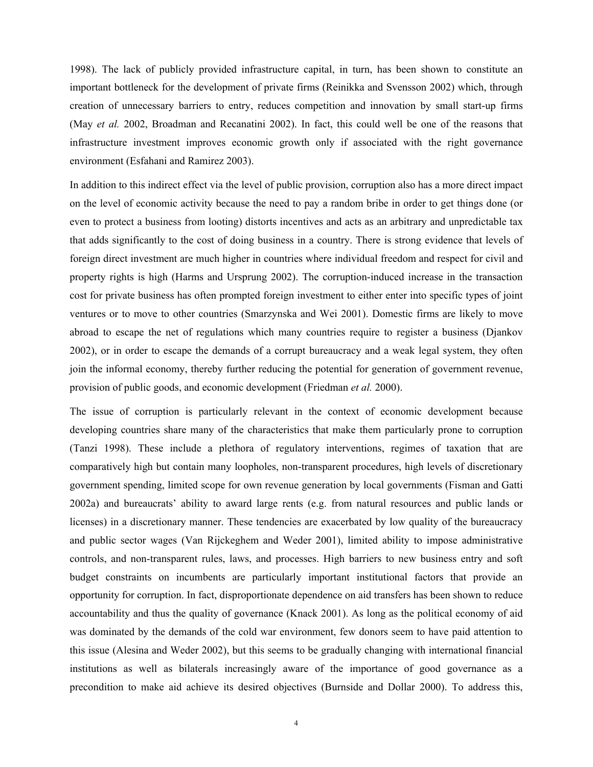1998). The lack of publicly provided infrastructure capital, in turn, has been shown to constitute an important bottleneck for the development of private firms (Reinikka and Svensson 2002) which, through creation of unnecessary barriers to entry, reduces competition and innovation by small start-up firms (May *et al.* 2002, Broadman and Recanatini 2002). In fact, this could well be one of the reasons that infrastructure investment improves economic growth only if associated with the right governance environment (Esfahani and Ramirez 2003).

In addition to this indirect effect via the level of public provision, corruption also has a more direct impact on the level of economic activity because the need to pay a random bribe in order to get things done (or even to protect a business from looting) distorts incentives and acts as an arbitrary and unpredictable tax that adds significantly to the cost of doing business in a country. There is strong evidence that levels of foreign direct investment are much higher in countries where individual freedom and respect for civil and property rights is high (Harms and Ursprung 2002). The corruption-induced increase in the transaction cost for private business has often prompted foreign investment to either enter into specific types of joint ventures or to move to other countries (Smarzynska and Wei 2001). Domestic firms are likely to move abroad to escape the net of regulations which many countries require to register a business (Djankov 2002), or in order to escape the demands of a corrupt bureaucracy and a weak legal system, they often join the informal economy, thereby further reducing the potential for generation of government revenue, provision of public goods, and economic development (Friedman *et al.* 2000).

The issue of corruption is particularly relevant in the context of economic development because developing countries share many of the characteristics that make them particularly prone to corruption (Tanzi 1998). These include a plethora of regulatory interventions, regimes of taxation that are comparatively high but contain many loopholes, non-transparent procedures, high levels of discretionary government spending, limited scope for own revenue generation by local governments (Fisman and Gatti 2002a) and bureaucrats' ability to award large rents (e.g. from natural resources and public lands or licenses) in a discretionary manner. These tendencies are exacerbated by low quality of the bureaucracy and public sector wages (Van Rijckeghem and Weder 2001), limited ability to impose administrative controls, and non-transparent rules, laws, and processes. High barriers to new business entry and soft budget constraints on incumbents are particularly important institutional factors that provide an opportunity for corruption. In fact, disproportionate dependence on aid transfers has been shown to reduce accountability and thus the quality of governance (Knack 2001). As long as the political economy of aid was dominated by the demands of the cold war environment, few donors seem to have paid attention to this issue (Alesina and Weder 2002), but this seems to be gradually changing with international financial institutions as well as bilaterals increasingly aware of the importance of good governance as a precondition to make aid achieve its desired objectives (Burnside and Dollar 2000). To address this,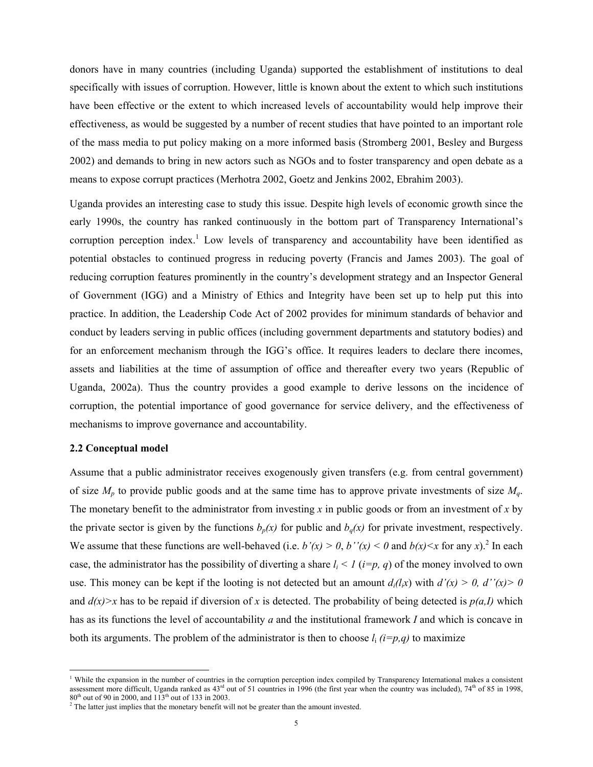donors have in many countries (including Uganda) supported the establishment of institutions to deal specifically with issues of corruption. However, little is known about the extent to which such institutions have been effective or the extent to which increased levels of accountability would help improve their effectiveness, as would be suggested by a number of recent studies that have pointed to an important role of the mass media to put policy making on a more informed basis (Stromberg 2001, Besley and Burgess 2002) and demands to bring in new actors such as NGOs and to foster transparency and open debate as a means to expose corrupt practices (Merhotra 2002, Goetz and Jenkins 2002, Ebrahim 2003).

Uganda provides an interesting case to study this issue. Despite high levels of economic growth since the early 1990s, the country has ranked continuously in the bottom part of Transparency International's corruption perception index.<sup>1</sup> Low levels of transparency and accountability have been identified as potential obstacles to continued progress in reducing poverty (Francis and James 2003). The goal of reducing corruption features prominently in the country's development strategy and an Inspector General of Government (IGG) and a Ministry of Ethics and Integrity have been set up to help put this into practice. In addition, the Leadership Code Act of 2002 provides for minimum standards of behavior and conduct by leaders serving in public offices (including government departments and statutory bodies) and for an enforcement mechanism through the IGG's office. It requires leaders to declare there incomes, assets and liabilities at the time of assumption of office and thereafter every two years (Republic of Uganda, 2002a). Thus the country provides a good example to derive lessons on the incidence of corruption, the potential importance of good governance for service delivery, and the effectiveness of mechanisms to improve governance and accountability.

#### **2.2 Conceptual model**

 $\overline{a}$ 

Assume that a public administrator receives exogenously given transfers (e.g. from central government) of size *Mp* to provide public goods and at the same time has to approve private investments of size *Mq*. The monetary benefit to the administrator from investing *x* in public goods or from an investment of *x* by the private sector is given by the functions  $b_p(x)$  for public and  $b_q(x)$  for private investment, respectively. We assume that these functions are well-behaved (i.e.  $b'(x) > 0$ ,  $b''(x) < 0$  and  $b(x) < x$  for any  $x$ ).<sup>2</sup> In each case, the administrator has the possibility of diverting a share  $l_i < 1$  ( $i=p, q$ ) of the money involved to own use. This money can be kept if the looting is not detected but an amount  $d_i(x, x)$  with  $d'(x) > 0$ ,  $d''(x) > 0$ and  $d(x)$  *x* has to be repaid if diversion of *x* is detected. The probability of being detected is  $p(a, I)$  which has as its functions the level of accountability *a* and the institutional framework *I* and which is concave in both its arguments. The problem of the administrator is then to choose  $l_i$   $(i=p,q)$  to maximize

<sup>&</sup>lt;sup>1</sup> While the expansion in the number of countries in the corruption perception index compiled by Transparency International makes a consistent assessment more difficult, Uganda ranked as  $43<sup>rd</sup>$  out of 51 countries in 1996 (the first year when the country was included),  $74<sup>th</sup>$  of 85 in 1998, 80<sup>th</sup> out of 90 in 2000, and 113<sup>th</sup> out of 133 in 2003.

<sup>&</sup>lt;sup>2</sup> The latter just implies that the monetary benefit will not be greater than the amount invested.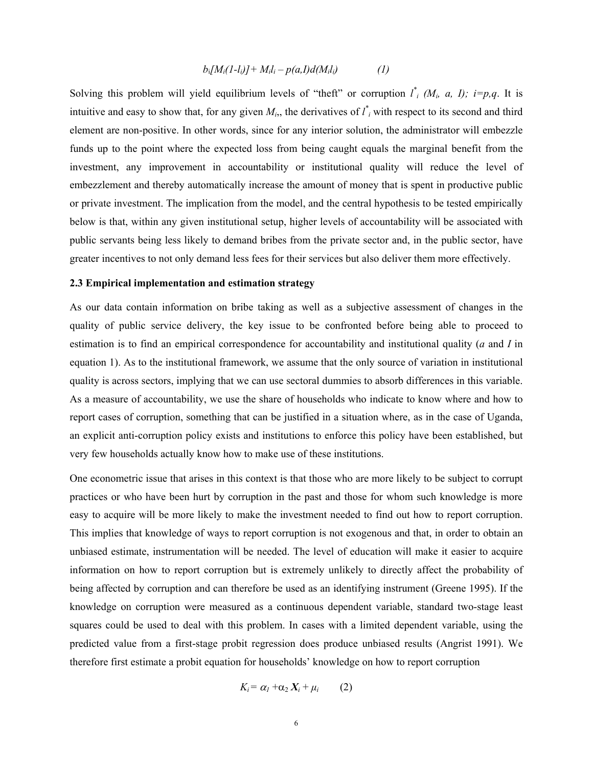## $b_i[M_i(l-l_i)] + M_i l_i - p(a,l)d(M_i l_i)$  (1)

Solving this problem will yield equilibrium levels of "theft" or corruption  $l^*$  ( $M_i$ ,  $a$ ,  $l$ );  $i=p,q$ . It is intuitive and easy to show that, for any given  $M_i$ , the derivatives of  $l^*$  with respect to its second and third element are non-positive. In other words, since for any interior solution, the administrator will embezzle funds up to the point where the expected loss from being caught equals the marginal benefit from the investment, any improvement in accountability or institutional quality will reduce the level of embezzlement and thereby automatically increase the amount of money that is spent in productive public or private investment. The implication from the model, and the central hypothesis to be tested empirically below is that, within any given institutional setup, higher levels of accountability will be associated with public servants being less likely to demand bribes from the private sector and, in the public sector, have greater incentives to not only demand less fees for their services but also deliver them more effectively.

## **2.3 Empirical implementation and estimation strategy**

As our data contain information on bribe taking as well as a subjective assessment of changes in the quality of public service delivery, the key issue to be confronted before being able to proceed to estimation is to find an empirical correspondence for accountability and institutional quality (*a* and *I* in equation 1). As to the institutional framework, we assume that the only source of variation in institutional quality is across sectors, implying that we can use sectoral dummies to absorb differences in this variable. As a measure of accountability, we use the share of households who indicate to know where and how to report cases of corruption, something that can be justified in a situation where, as in the case of Uganda, an explicit anti-corruption policy exists and institutions to enforce this policy have been established, but very few households actually know how to make use of these institutions.

One econometric issue that arises in this context is that those who are more likely to be subject to corrupt practices or who have been hurt by corruption in the past and those for whom such knowledge is more easy to acquire will be more likely to make the investment needed to find out how to report corruption. This implies that knowledge of ways to report corruption is not exogenous and that, in order to obtain an unbiased estimate, instrumentation will be needed. The level of education will make it easier to acquire information on how to report corruption but is extremely unlikely to directly affect the probability of being affected by corruption and can therefore be used as an identifying instrument (Greene 1995). If the knowledge on corruption were measured as a continuous dependent variable, standard two-stage least squares could be used to deal with this problem. In cases with a limited dependent variable, using the predicted value from a first-stage probit regression does produce unbiased results (Angrist 1991). We therefore first estimate a probit equation for households' knowledge on how to report corruption

$$
K_i = \alpha_1 + \alpha_2 X_i + \mu_i \qquad (2)
$$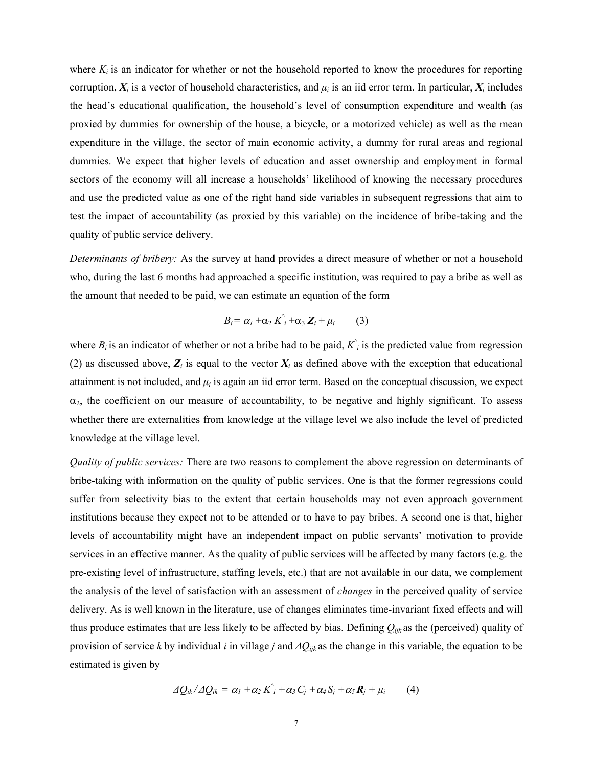where  $K_i$  is an indicator for whether or not the household reported to know the procedures for reporting corruption,  $X_i$  is a vector of household characteristics, and  $\mu_i$  is an iid error term. In particular,  $X_i$  includes the head's educational qualification, the household's level of consumption expenditure and wealth (as proxied by dummies for ownership of the house, a bicycle, or a motorized vehicle) as well as the mean expenditure in the village, the sector of main economic activity, a dummy for rural areas and regional dummies. We expect that higher levels of education and asset ownership and employment in formal sectors of the economy will all increase a households' likelihood of knowing the necessary procedures and use the predicted value as one of the right hand side variables in subsequent regressions that aim to test the impact of accountability (as proxied by this variable) on the incidence of bribe-taking and the quality of public service delivery.

*Determinants of bribery:* As the survey at hand provides a direct measure of whether or not a household who, during the last 6 months had approached a specific institution, was required to pay a bribe as well as the amount that needed to be paid, we can estimate an equation of the form

$$
B_i = \alpha_1 + \alpha_2 K_i + \alpha_3 Z_i + \mu_i \qquad (3)
$$

where  $B_i$  is an indicator of whether or not a bribe had to be paid,  $K_i$  is the predicted value from regression (2) as discussed above,  $Z_i$  is equal to the vector  $X_i$  as defined above with the exception that educational attainment is not included, and  $\mu_i$  is again an iid error term. Based on the conceptual discussion, we expect  $\alpha_2$ , the coefficient on our measure of accountability, to be negative and highly significant. To assess whether there are externalities from knowledge at the village level we also include the level of predicted knowledge at the village level.

*Quality of public services:* There are two reasons to complement the above regression on determinants of bribe-taking with information on the quality of public services. One is that the former regressions could suffer from selectivity bias to the extent that certain households may not even approach government institutions because they expect not to be attended or to have to pay bribes. A second one is that, higher levels of accountability might have an independent impact on public servants' motivation to provide services in an effective manner. As the quality of public services will be affected by many factors (e.g. the pre-existing level of infrastructure, staffing levels, etc.) that are not available in our data, we complement the analysis of the level of satisfaction with an assessment of *changes* in the perceived quality of service delivery. As is well known in the literature, use of changes eliminates time-invariant fixed effects and will thus produce estimates that are less likely to be affected by bias. Defining *Qijk* as the (perceived) quality of provision of service *k* by individual *i* in village *j* and *∆Qijk* as the change in this variable, the equation to be estimated is given by

$$
\Delta Q_{ik}/\Delta Q_{ik} = \alpha_l + \alpha_2 K_i + \alpha_3 C_j + \alpha_4 S_j + \alpha_5 R_j + \mu_i \qquad (4)
$$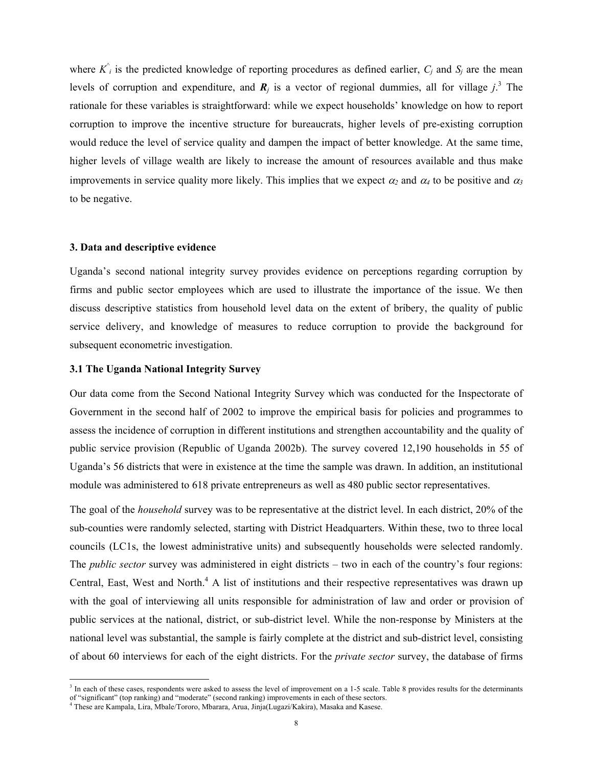where  $K^{\hat{i}}$  is the predicted knowledge of reporting procedures as defined earlier,  $C_j$  and  $S_j$  are the mean levels of corruption and expenditure, and  $\mathbf{R}_j$  is a vector of regional dummies, all for village  $j^3$ . The rationale for these variables is straightforward: while we expect households' knowledge on how to report corruption to improve the incentive structure for bureaucrats, higher levels of pre-existing corruption would reduce the level of service quality and dampen the impact of better knowledge. At the same time, higher levels of village wealth are likely to increase the amount of resources available and thus make improvements in service quality more likely. This implies that we expect  $\alpha_2$  and  $\alpha_4$  to be positive and  $\alpha_3$ to be negative.

#### **3. Data and descriptive evidence**

Uganda's second national integrity survey provides evidence on perceptions regarding corruption by firms and public sector employees which are used to illustrate the importance of the issue. We then discuss descriptive statistics from household level data on the extent of bribery, the quality of public service delivery, and knowledge of measures to reduce corruption to provide the background for subsequent econometric investigation.

### **3.1 The Uganda National Integrity Survey**

 $\overline{a}$ 

Our data come from the Second National Integrity Survey which was conducted for the Inspectorate of Government in the second half of 2002 to improve the empirical basis for policies and programmes to assess the incidence of corruption in different institutions and strengthen accountability and the quality of public service provision (Republic of Uganda 2002b). The survey covered 12,190 households in 55 of Uganda's 56 districts that were in existence at the time the sample was drawn. In addition, an institutional module was administered to 618 private entrepreneurs as well as 480 public sector representatives.

The goal of the *household* survey was to be representative at the district level. In each district, 20% of the sub-counties were randomly selected, starting with District Headquarters. Within these, two to three local councils (LC1s, the lowest administrative units) and subsequently households were selected randomly. The *public sector* survey was administered in eight districts – two in each of the country's four regions: Central, East, West and North.<sup>4</sup> A list of institutions and their respective representatives was drawn up with the goal of interviewing all units responsible for administration of law and order or provision of public services at the national, district, or sub-district level. While the non-response by Ministers at the national level was substantial, the sample is fairly complete at the district and sub-district level, consisting of about 60 interviews for each of the eight districts. For the *private sector* survey, the database of firms

<sup>&</sup>lt;sup>3</sup> In each of these cases, respondents were asked to assess the level of improvement on a 1-5 scale. Table 8 provides results for the determinants of "significant" (top ranking) and "moderate" (second ranking) improvements in each of these sectors. 4

These are Kampala, Lira, Mbale/Tororo, Mbarara, Arua, Jinja(Lugazi/Kakira), Masaka and Kasese.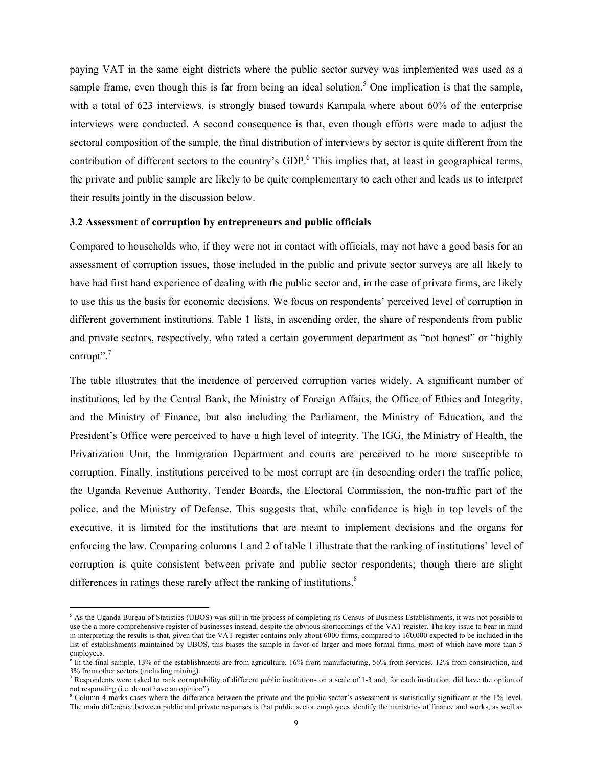paying VAT in the same eight districts where the public sector survey was implemented was used as a sample frame, even though this is far from being an ideal solution.<sup>5</sup> One implication is that the sample, with a total of 623 interviews, is strongly biased towards Kampala where about 60% of the enterprise interviews were conducted. A second consequence is that, even though efforts were made to adjust the sectoral composition of the sample, the final distribution of interviews by sector is quite different from the contribution of different sectors to the country's GDP.<sup>6</sup> This implies that, at least in geographical terms, the private and public sample are likely to be quite complementary to each other and leads us to interpret their results jointly in the discussion below.

#### **3.2 Assessment of corruption by entrepreneurs and public officials**

Compared to households who, if they were not in contact with officials, may not have a good basis for an assessment of corruption issues, those included in the public and private sector surveys are all likely to have had first hand experience of dealing with the public sector and, in the case of private firms, are likely to use this as the basis for economic decisions. We focus on respondents' perceived level of corruption in different government institutions. Table 1 lists, in ascending order, the share of respondents from public and private sectors, respectively, who rated a certain government department as "not honest" or "highly corrupt".<sup>7</sup>

The table illustrates that the incidence of perceived corruption varies widely. A significant number of institutions, led by the Central Bank, the Ministry of Foreign Affairs, the Office of Ethics and Integrity, and the Ministry of Finance, but also including the Parliament, the Ministry of Education, and the President's Office were perceived to have a high level of integrity. The IGG, the Ministry of Health, the Privatization Unit, the Immigration Department and courts are perceived to be more susceptible to corruption. Finally, institutions perceived to be most corrupt are (in descending order) the traffic police, the Uganda Revenue Authority, Tender Boards, the Electoral Commission, the non-traffic part of the police, and the Ministry of Defense. This suggests that, while confidence is high in top levels of the executive, it is limited for the institutions that are meant to implement decisions and the organs for enforcing the law. Comparing columns 1 and 2 of table 1 illustrate that the ranking of institutions' level of corruption is quite consistent between private and public sector respondents; though there are slight differences in ratings these rarely affect the ranking of institutions.<sup>8</sup>

<sup>&</sup>lt;sup>5</sup> As the Uganda Bureau of Statistics (UBOS) was still in the process of completing its Census of Business Establishments, it was not possible to use the a more comprehensive register of businesses instead, despite the obvious shortcomings of the VAT register. The key issue to bear in mind in interpreting the results is that, given that the VAT register contains only about 6000 firms, compared to 160,000 expected to be included in the list of establishments maintained by UBOS, this biases the sample in favor of larger and more formal firms, most of which have more than 5 employees.

<sup>&</sup>lt;sup>6</sup> In the final sample, 13% of the establishments are from agriculture, 16% from manufacturing, 56% from services, 12% from construction, and  $3\%$  from other sectors (including mining).<br><sup>7</sup> Respondents were asked to rank corruptability of different public institutions on a scale of 1-3 and, for each institution, did have the option of

not responding (i.e. do not have an opinion").

<sup>&</sup>lt;sup>8</sup> Column 4 marks cases where the difference between the private and the public sector's assessment is statistically significant at the 1% level. The main difference between public and private responses is that public sector employees identify the ministries of finance and works, as well as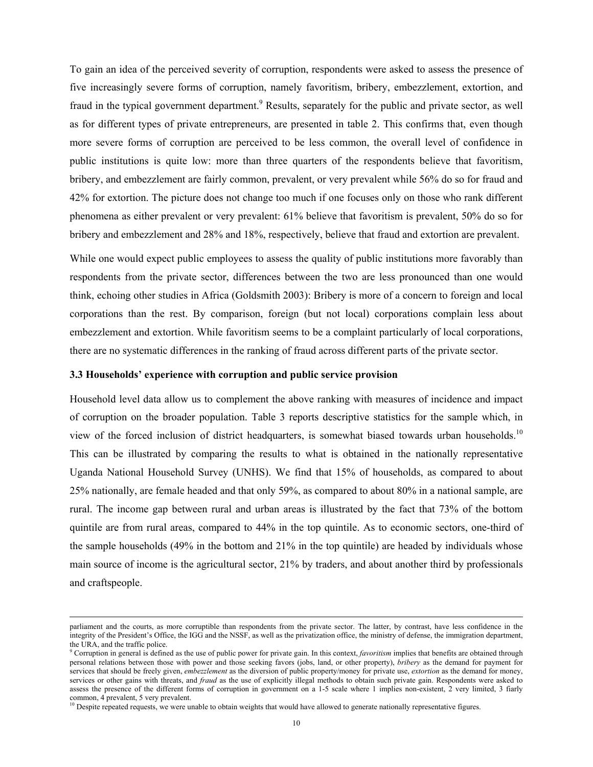To gain an idea of the perceived severity of corruption, respondents were asked to assess the presence of five increasingly severe forms of corruption, namely favoritism, bribery, embezzlement, extortion, and fraud in the typical government department.<sup>9</sup> Results, separately for the public and private sector, as well as for different types of private entrepreneurs, are presented in table 2. This confirms that, even though more severe forms of corruption are perceived to be less common, the overall level of confidence in public institutions is quite low: more than three quarters of the respondents believe that favoritism, bribery, and embezzlement are fairly common, prevalent, or very prevalent while 56% do so for fraud and 42% for extortion. The picture does not change too much if one focuses only on those who rank different phenomena as either prevalent or very prevalent: 61% believe that favoritism is prevalent, 50% do so for bribery and embezzlement and 28% and 18%, respectively, believe that fraud and extortion are prevalent.

While one would expect public employees to assess the quality of public institutions more favorably than respondents from the private sector, differences between the two are less pronounced than one would think, echoing other studies in Africa (Goldsmith 2003): Bribery is more of a concern to foreign and local corporations than the rest. By comparison, foreign (but not local) corporations complain less about embezzlement and extortion. While favoritism seems to be a complaint particularly of local corporations, there are no systematic differences in the ranking of fraud across different parts of the private sector.

#### **3.3 Households' experience with corruption and public service provision**

Household level data allow us to complement the above ranking with measures of incidence and impact of corruption on the broader population. Table 3 reports descriptive statistics for the sample which, in view of the forced inclusion of district headquarters, is somewhat biased towards urban households.<sup>10</sup> This can be illustrated by comparing the results to what is obtained in the nationally representative Uganda National Household Survey (UNHS). We find that 15% of households, as compared to about 25% nationally, are female headed and that only 59%, as compared to about 80% in a national sample, are rural. The income gap between rural and urban areas is illustrated by the fact that 73% of the bottom quintile are from rural areas, compared to 44% in the top quintile. As to economic sectors, one-third of the sample households (49% in the bottom and 21% in the top quintile) are headed by individuals whose main source of income is the agricultural sector, 21% by traders, and about another third by professionals and craftspeople.

parliament and the courts, as more corruptible than respondents from the private sector. The latter, by contrast, have less confidence in the integrity of the President's Office, the IGG and the NSSF, as well as the privatization office, the ministry of defense, the immigration department, the URA, and the traffic police.

<sup>9</sup> Corruption in general is defined as the use of public power for private gain. In this context, *favoritism* implies that benefits are obtained through personal relations between those with power and those seeking favors (jobs, land, or other property), *bribery* as the demand for payment for services that should be freely given, *embezzlement* as the diversion of public property/money for private use, *extortion* as the demand for money, services or other gains with threats, and *fraud* as the use of explicitly illegal methods to obtain such private gain. Respondents were asked to assess the presence of the different forms of corruption in government on a 1-5 scale where 1 implies non-existent, 2 very limited, 3 fiarly common, 4 prevalent, 5 very prevalent.

<sup>&</sup>lt;sup>10</sup> Despite repeated requests, we were unable to obtain weights that would have allowed to generate nationally representative figures.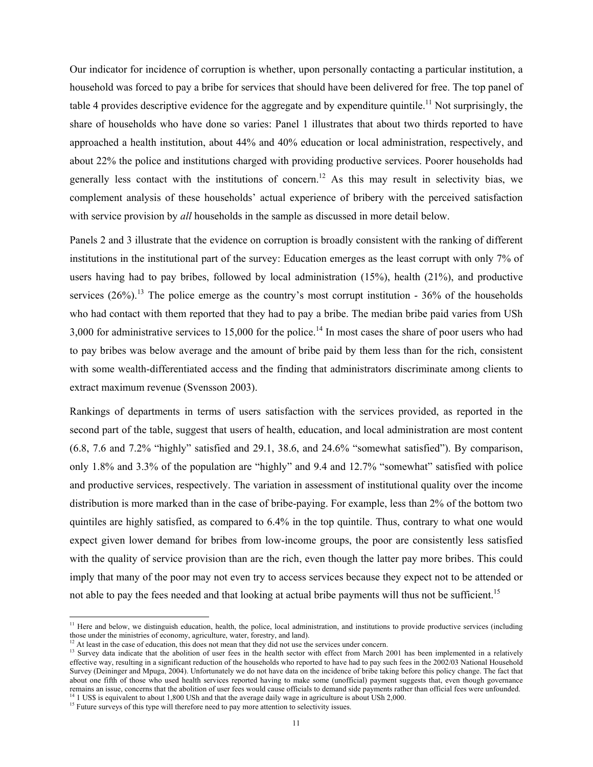Our indicator for incidence of corruption is whether, upon personally contacting a particular institution, a household was forced to pay a bribe for services that should have been delivered for free. The top panel of table 4 provides descriptive evidence for the aggregate and by expenditure quintile.<sup>11</sup> Not surprisingly, the share of households who have done so varies: Panel 1 illustrates that about two thirds reported to have approached a health institution, about 44% and 40% education or local administration, respectively, and about 22% the police and institutions charged with providing productive services. Poorer households had generally less contact with the institutions of concern.<sup>12</sup> As this may result in selectivity bias, we complement analysis of these households' actual experience of bribery with the perceived satisfaction with service provision by *all* households in the sample as discussed in more detail below.

Panels 2 and 3 illustrate that the evidence on corruption is broadly consistent with the ranking of different institutions in the institutional part of the survey: Education emerges as the least corrupt with only 7% of users having had to pay bribes, followed by local administration (15%), health (21%), and productive services  $(26\%)$ .<sup>13</sup> The police emerge as the country's most corrupt institution - 36% of the households who had contact with them reported that they had to pay a bribe. The median bribe paid varies from USh 3,000 for administrative services to 15,000 for the police.<sup>14</sup> In most cases the share of poor users who had to pay bribes was below average and the amount of bribe paid by them less than for the rich, consistent with some wealth-differentiated access and the finding that administrators discriminate among clients to extract maximum revenue (Svensson 2003).

Rankings of departments in terms of users satisfaction with the services provided, as reported in the second part of the table, suggest that users of health, education, and local administration are most content (6.8, 7.6 and 7.2% "highly" satisfied and 29.1, 38.6, and 24.6% "somewhat satisfied"). By comparison, only 1.8% and 3.3% of the population are "highly" and 9.4 and 12.7% "somewhat" satisfied with police and productive services, respectively. The variation in assessment of institutional quality over the income distribution is more marked than in the case of bribe-paying. For example, less than 2% of the bottom two quintiles are highly satisfied, as compared to 6.4% in the top quintile. Thus, contrary to what one would expect given lower demand for bribes from low-income groups, the poor are consistently less satisfied with the quality of service provision than are the rich, even though the latter pay more bribes. This could imply that many of the poor may not even try to access services because they expect not to be attended or not able to pay the fees needed and that looking at actual bribe payments will thus not be sufficient.<sup>15</sup>

 $\overline{a}$ 

<sup>&</sup>lt;sup>11</sup> Here and below, we distinguish education, health, the police, local administration, and institutions to provide productive services (including those under the ministries of economy, agriculture, water, forestry, and

<sup>&</sup>lt;sup>12</sup> At least in the case of education, this does not mean that they did not use the services under concern.<br><sup>13</sup> Survey data indicate that the abolition of user fees in the health sector with effect from March 2001 has b effective way, resulting in a significant reduction of the households who reported to have had to pay such fees in the 2002/03 National Household Survey (Deininger and Mpuga, 2004). Unfortunately we do not have data on the incidence of bribe taking before this policy change. The fact that about one fifth of those who used health services reported having to make some (unofficial) payment suggests that, even though governance remains an issue, concerns that the abolition of user fees would cause officials to demand side payments rather than official fees were unfounded.<br><sup>14</sup> 1 US\$ is equivalent to about 1,800 USh and that the average daily wag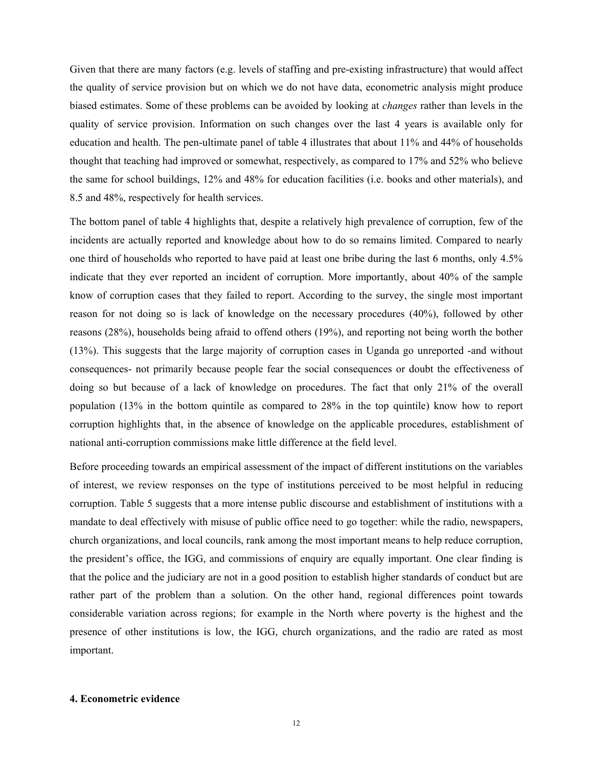Given that there are many factors (e.g. levels of staffing and pre-existing infrastructure) that would affect the quality of service provision but on which we do not have data, econometric analysis might produce biased estimates. Some of these problems can be avoided by looking at *changes* rather than levels in the quality of service provision. Information on such changes over the last 4 years is available only for education and health. The pen-ultimate panel of table 4 illustrates that about 11% and 44% of households thought that teaching had improved or somewhat, respectively, as compared to 17% and 52% who believe the same for school buildings, 12% and 48% for education facilities (i.e. books and other materials), and 8.5 and 48%, respectively for health services.

The bottom panel of table 4 highlights that, despite a relatively high prevalence of corruption, few of the incidents are actually reported and knowledge about how to do so remains limited. Compared to nearly one third of households who reported to have paid at least one bribe during the last 6 months, only 4.5% indicate that they ever reported an incident of corruption. More importantly, about 40% of the sample know of corruption cases that they failed to report. According to the survey, the single most important reason for not doing so is lack of knowledge on the necessary procedures (40%), followed by other reasons (28%), households being afraid to offend others (19%), and reporting not being worth the bother (13%). This suggests that the large majority of corruption cases in Uganda go unreported -and without consequences- not primarily because people fear the social consequences or doubt the effectiveness of doing so but because of a lack of knowledge on procedures. The fact that only 21% of the overall population (13% in the bottom quintile as compared to 28% in the top quintile) know how to report corruption highlights that, in the absence of knowledge on the applicable procedures, establishment of national anti-corruption commissions make little difference at the field level.

Before proceeding towards an empirical assessment of the impact of different institutions on the variables of interest, we review responses on the type of institutions perceived to be most helpful in reducing corruption. Table 5 suggests that a more intense public discourse and establishment of institutions with a mandate to deal effectively with misuse of public office need to go together: while the radio, newspapers, church organizations, and local councils, rank among the most important means to help reduce corruption, the president's office, the IGG, and commissions of enquiry are equally important. One clear finding is that the police and the judiciary are not in a good position to establish higher standards of conduct but are rather part of the problem than a solution. On the other hand, regional differences point towards considerable variation across regions; for example in the North where poverty is the highest and the presence of other institutions is low, the IGG, church organizations, and the radio are rated as most important.

## **4. Econometric evidence**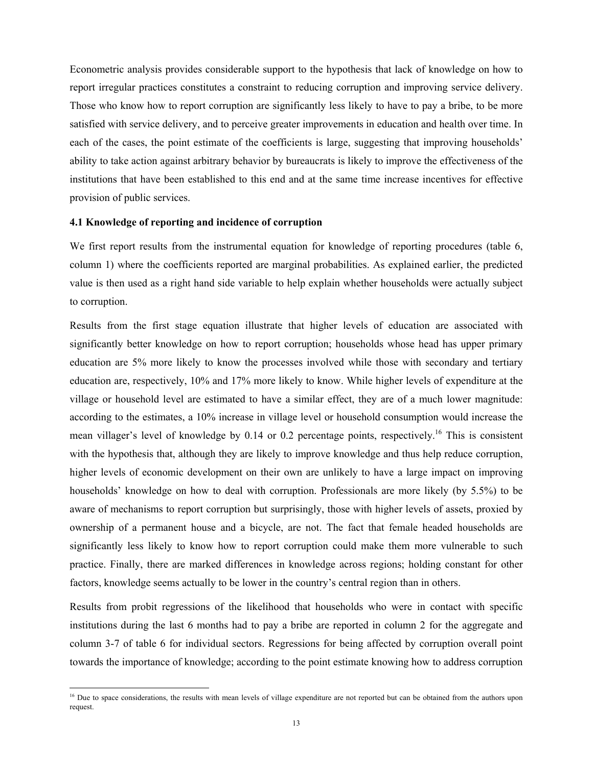Econometric analysis provides considerable support to the hypothesis that lack of knowledge on how to report irregular practices constitutes a constraint to reducing corruption and improving service delivery. Those who know how to report corruption are significantly less likely to have to pay a bribe, to be more satisfied with service delivery, and to perceive greater improvements in education and health over time. In each of the cases, the point estimate of the coefficients is large, suggesting that improving households' ability to take action against arbitrary behavior by bureaucrats is likely to improve the effectiveness of the institutions that have been established to this end and at the same time increase incentives for effective provision of public services.

#### **4.1 Knowledge of reporting and incidence of corruption**

 $\overline{a}$ 

We first report results from the instrumental equation for knowledge of reporting procedures (table 6, column 1) where the coefficients reported are marginal probabilities. As explained earlier, the predicted value is then used as a right hand side variable to help explain whether households were actually subject to corruption.

Results from the first stage equation illustrate that higher levels of education are associated with significantly better knowledge on how to report corruption; households whose head has upper primary education are 5% more likely to know the processes involved while those with secondary and tertiary education are, respectively, 10% and 17% more likely to know. While higher levels of expenditure at the village or household level are estimated to have a similar effect, they are of a much lower magnitude: according to the estimates, a 10% increase in village level or household consumption would increase the mean villager's level of knowledge by 0.14 or 0.2 percentage points, respectively.<sup>16</sup> This is consistent with the hypothesis that, although they are likely to improve knowledge and thus help reduce corruption, higher levels of economic development on their own are unlikely to have a large impact on improving households' knowledge on how to deal with corruption. Professionals are more likely (by 5.5%) to be aware of mechanisms to report corruption but surprisingly, those with higher levels of assets, proxied by ownership of a permanent house and a bicycle, are not. The fact that female headed households are significantly less likely to know how to report corruption could make them more vulnerable to such practice. Finally, there are marked differences in knowledge across regions; holding constant for other factors, knowledge seems actually to be lower in the country's central region than in others.

Results from probit regressions of the likelihood that households who were in contact with specific institutions during the last 6 months had to pay a bribe are reported in column 2 for the aggregate and column 3-7 of table 6 for individual sectors. Regressions for being affected by corruption overall point towards the importance of knowledge; according to the point estimate knowing how to address corruption

<sup>&</sup>lt;sup>16</sup> Due to space considerations, the results with mean levels of village expenditure are not reported but can be obtained from the authors upon request.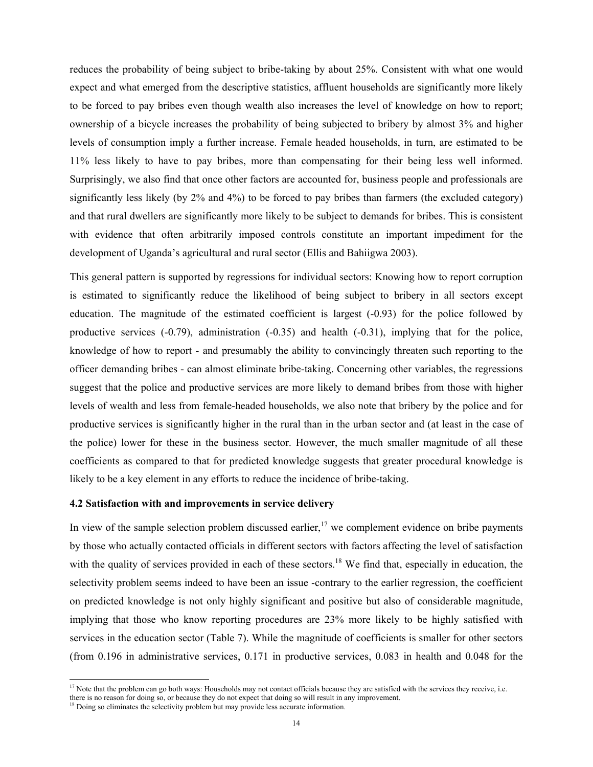reduces the probability of being subject to bribe-taking by about 25%. Consistent with what one would expect and what emerged from the descriptive statistics, affluent households are significantly more likely to be forced to pay bribes even though wealth also increases the level of knowledge on how to report; ownership of a bicycle increases the probability of being subjected to bribery by almost 3% and higher levels of consumption imply a further increase. Female headed households, in turn, are estimated to be 11% less likely to have to pay bribes, more than compensating for their being less well informed. Surprisingly, we also find that once other factors are accounted for, business people and professionals are significantly less likely (by 2% and 4%) to be forced to pay bribes than farmers (the excluded category) and that rural dwellers are significantly more likely to be subject to demands for bribes. This is consistent with evidence that often arbitrarily imposed controls constitute an important impediment for the development of Uganda's agricultural and rural sector (Ellis and Bahiigwa 2003).

This general pattern is supported by regressions for individual sectors: Knowing how to report corruption is estimated to significantly reduce the likelihood of being subject to bribery in all sectors except education. The magnitude of the estimated coefficient is largest (-0.93) for the police followed by productive services (-0.79), administration (-0.35) and health (-0.31), implying that for the police, knowledge of how to report - and presumably the ability to convincingly threaten such reporting to the officer demanding bribes - can almost eliminate bribe-taking. Concerning other variables, the regressions suggest that the police and productive services are more likely to demand bribes from those with higher levels of wealth and less from female-headed households, we also note that bribery by the police and for productive services is significantly higher in the rural than in the urban sector and (at least in the case of the police) lower for these in the business sector. However, the much smaller magnitude of all these coefficients as compared to that for predicted knowledge suggests that greater procedural knowledge is likely to be a key element in any efforts to reduce the incidence of bribe-taking.

## **4.2 Satisfaction with and improvements in service delivery**

In view of the sample selection problem discussed earlier,<sup>17</sup> we complement evidence on bribe payments by those who actually contacted officials in different sectors with factors affecting the level of satisfaction with the quality of services provided in each of these sectors.<sup>18</sup> We find that, especially in education, the selectivity problem seems indeed to have been an issue -contrary to the earlier regression, the coefficient on predicted knowledge is not only highly significant and positive but also of considerable magnitude, implying that those who know reporting procedures are 23% more likely to be highly satisfied with services in the education sector (Table 7). While the magnitude of coefficients is smaller for other sectors (from 0.196 in administrative services, 0.171 in productive services, 0.083 in health and 0.048 for the

 $\overline{a}$ 

<sup>&</sup>lt;sup>17</sup> Note that the problem can go both ways: Households may not contact officials because they are satisfied with the services they receive, i.e.

there is no reason for doing so, or because they do not expect that doing so will result in any improvement. <sup>18</sup> Doing so eliminates the selectivity problem but may provide less accurate information.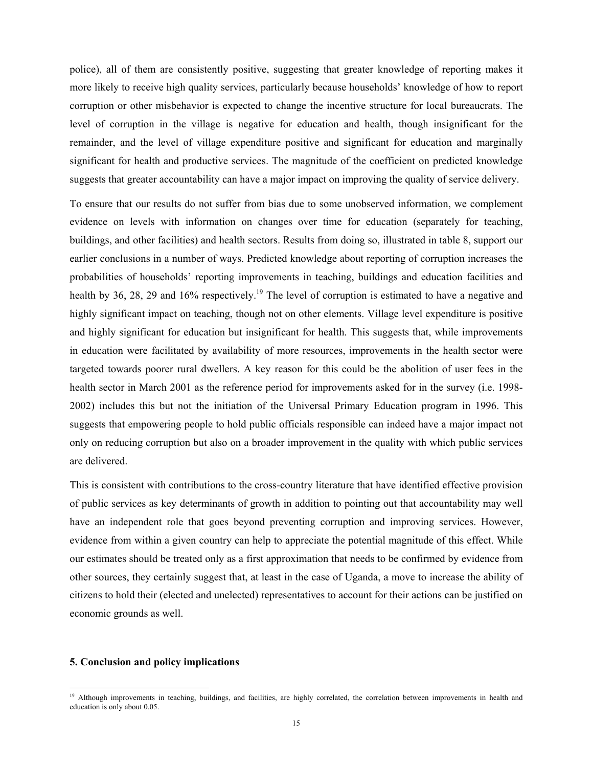police), all of them are consistently positive, suggesting that greater knowledge of reporting makes it more likely to receive high quality services, particularly because households' knowledge of how to report corruption or other misbehavior is expected to change the incentive structure for local bureaucrats. The level of corruption in the village is negative for education and health, though insignificant for the remainder, and the level of village expenditure positive and significant for education and marginally significant for health and productive services. The magnitude of the coefficient on predicted knowledge suggests that greater accountability can have a major impact on improving the quality of service delivery.

To ensure that our results do not suffer from bias due to some unobserved information, we complement evidence on levels with information on changes over time for education (separately for teaching, buildings, and other facilities) and health sectors. Results from doing so, illustrated in table 8, support our earlier conclusions in a number of ways. Predicted knowledge about reporting of corruption increases the probabilities of households' reporting improvements in teaching, buildings and education facilities and health by 36, 28, 29 and 16% respectively.<sup>19</sup> The level of corruption is estimated to have a negative and highly significant impact on teaching, though not on other elements. Village level expenditure is positive and highly significant for education but insignificant for health. This suggests that, while improvements in education were facilitated by availability of more resources, improvements in the health sector were targeted towards poorer rural dwellers. A key reason for this could be the abolition of user fees in the health sector in March 2001 as the reference period for improvements asked for in the survey (i.e. 1998- 2002) includes this but not the initiation of the Universal Primary Education program in 1996. This suggests that empowering people to hold public officials responsible can indeed have a major impact not only on reducing corruption but also on a broader improvement in the quality with which public services are delivered.

This is consistent with contributions to the cross-country literature that have identified effective provision of public services as key determinants of growth in addition to pointing out that accountability may well have an independent role that goes beyond preventing corruption and improving services. However, evidence from within a given country can help to appreciate the potential magnitude of this effect. While our estimates should be treated only as a first approximation that needs to be confirmed by evidence from other sources, they certainly suggest that, at least in the case of Uganda, a move to increase the ability of citizens to hold their (elected and unelected) representatives to account for their actions can be justified on economic grounds as well.

### **5. Conclusion and policy implications**

 $\overline{a}$ 

<sup>&</sup>lt;sup>19</sup> Although improvements in teaching, buildings, and facilities, are highly correlated, the correlation between improvements in health and education is only about 0.05.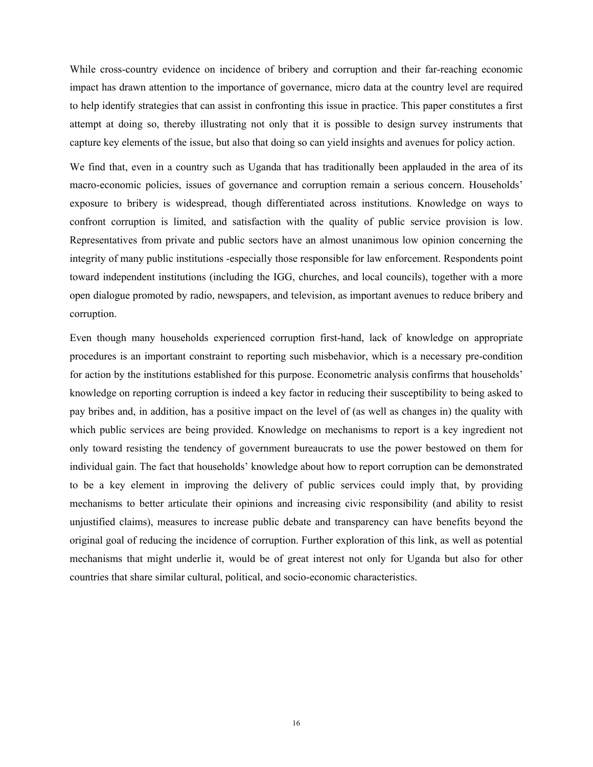While cross-country evidence on incidence of bribery and corruption and their far-reaching economic impact has drawn attention to the importance of governance, micro data at the country level are required to help identify strategies that can assist in confronting this issue in practice. This paper constitutes a first attempt at doing so, thereby illustrating not only that it is possible to design survey instruments that capture key elements of the issue, but also that doing so can yield insights and avenues for policy action.

We find that, even in a country such as Uganda that has traditionally been applauded in the area of its macro-economic policies, issues of governance and corruption remain a serious concern. Households' exposure to bribery is widespread, though differentiated across institutions. Knowledge on ways to confront corruption is limited, and satisfaction with the quality of public service provision is low. Representatives from private and public sectors have an almost unanimous low opinion concerning the integrity of many public institutions -especially those responsible for law enforcement. Respondents point toward independent institutions (including the IGG, churches, and local councils), together with a more open dialogue promoted by radio, newspapers, and television, as important avenues to reduce bribery and corruption.

Even though many households experienced corruption first-hand, lack of knowledge on appropriate procedures is an important constraint to reporting such misbehavior, which is a necessary pre-condition for action by the institutions established for this purpose. Econometric analysis confirms that households' knowledge on reporting corruption is indeed a key factor in reducing their susceptibility to being asked to pay bribes and, in addition, has a positive impact on the level of (as well as changes in) the quality with which public services are being provided. Knowledge on mechanisms to report is a key ingredient not only toward resisting the tendency of government bureaucrats to use the power bestowed on them for individual gain. The fact that households' knowledge about how to report corruption can be demonstrated to be a key element in improving the delivery of public services could imply that, by providing mechanisms to better articulate their opinions and increasing civic responsibility (and ability to resist unjustified claims), measures to increase public debate and transparency can have benefits beyond the original goal of reducing the incidence of corruption. Further exploration of this link, as well as potential mechanisms that might underlie it, would be of great interest not only for Uganda but also for other countries that share similar cultural, political, and socio-economic characteristics.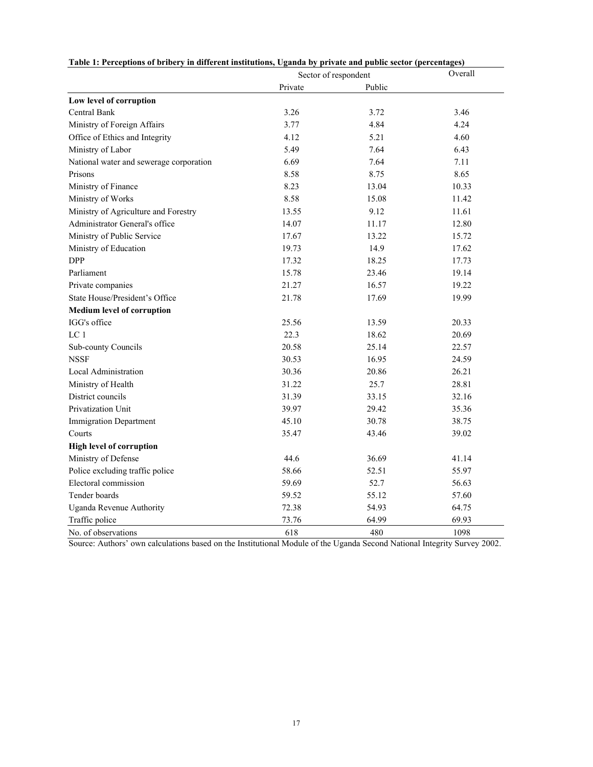|                                         | in unicreat institutions, examin by private and public sector<br>Sector of respondent | Overall |       |
|-----------------------------------------|---------------------------------------------------------------------------------------|---------|-------|
|                                         | Private                                                                               | Public  |       |
| Low level of corruption                 |                                                                                       |         |       |
| Central Bank                            | 3.26                                                                                  | 3.72    | 3.46  |
| Ministry of Foreign Affairs             | 3.77                                                                                  | 4.84    | 4.24  |
| Office of Ethics and Integrity          | 4.12                                                                                  | 5.21    | 4.60  |
| Ministry of Labor                       | 5.49                                                                                  | 7.64    | 6.43  |
| National water and sewerage corporation | 6.69                                                                                  | 7.64    | 7.11  |
| Prisons                                 | 8.58                                                                                  | 8.75    | 8.65  |
| Ministry of Finance                     | 8.23                                                                                  | 13.04   | 10.33 |
| Ministry of Works                       | 8.58                                                                                  | 15.08   | 11.42 |
| Ministry of Agriculture and Forestry    | 13.55                                                                                 | 9.12    | 11.61 |
| Administrator General's office          | 14.07                                                                                 | 11.17   | 12.80 |
| Ministry of Public Service              | 17.67                                                                                 | 13.22   | 15.72 |
| Ministry of Education                   | 19.73                                                                                 | 14.9    | 17.62 |
| <b>DPP</b>                              | 17.32                                                                                 | 18.25   | 17.73 |
| Parliament                              | 15.78                                                                                 | 23.46   | 19.14 |
| Private companies                       | 21.27                                                                                 | 16.57   | 19.22 |
| State House/President's Office          | 21.78                                                                                 | 17.69   | 19.99 |
| <b>Medium level of corruption</b>       |                                                                                       |         |       |
| IGG's office                            | 25.56                                                                                 | 13.59   | 20.33 |
| LC <sub>1</sub>                         | 22.3                                                                                  | 18.62   | 20.69 |
| Sub-county Councils                     | 20.58                                                                                 | 25.14   | 22.57 |
| <b>NSSF</b>                             | 30.53                                                                                 | 16.95   | 24.59 |
| <b>Local Administration</b>             | 30.36                                                                                 | 20.86   | 26.21 |
| Ministry of Health                      | 31.22                                                                                 | 25.7    | 28.81 |
| District councils                       | 31.39                                                                                 | 33.15   | 32.16 |
| Privatization Unit                      | 39.97                                                                                 | 29.42   | 35.36 |
| <b>Immigration Department</b>           | 45.10                                                                                 | 30.78   | 38.75 |
| Courts                                  | 35.47                                                                                 | 43.46   | 39.02 |
| <b>High level of corruption</b>         |                                                                                       |         |       |
| Ministry of Defense                     | 44.6                                                                                  | 36.69   | 41.14 |
| Police excluding traffic police         | 58.66                                                                                 | 52.51   | 55.97 |
| Electoral commission                    | 59.69                                                                                 | 52.7    | 56.63 |
| Tender boards                           | 59.52                                                                                 | 55.12   | 57.60 |
| Uganda Revenue Authority                | 72.38                                                                                 | 54.93   | 64.75 |
| Traffic police                          | 73.76                                                                                 | 64.99   | 69.93 |
| No. of observations                     | 618                                                                                   | 480     | 1098  |

### **Table 1: Perceptions of bribery in different institutions, Uganda by private and public sector (percentages)**

Source: Authors' own calculations based on the Institutional Module of the Uganda Second National Integrity Survey 2002.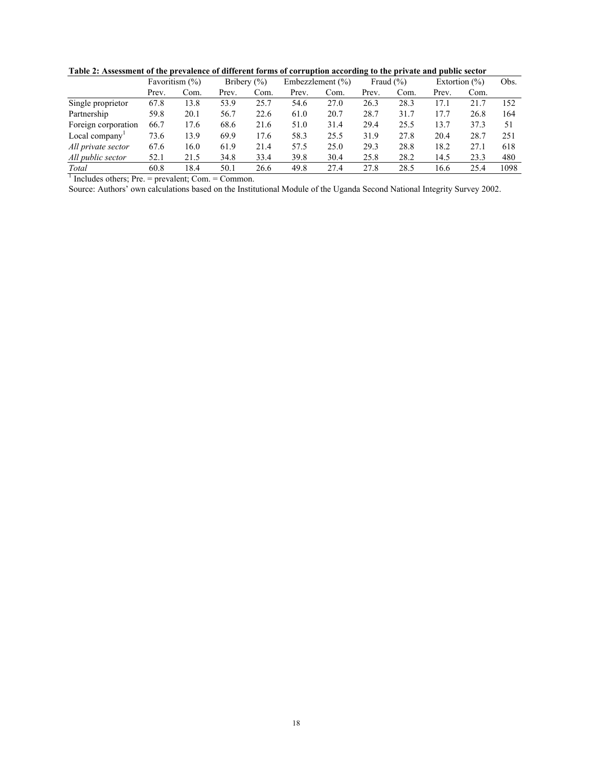**Table 2: Assessment of the prevalence of different forms of corruption according to the private and public sector** 

|                                                                 | Favoritism (%) |      | Bribery $(\% )$ |      | Embezzlement $(\% )$ |      | Fraud $(\% )$ |      | Extortion $(\% )$ |      | Obs. |
|-----------------------------------------------------------------|----------------|------|-----------------|------|----------------------|------|---------------|------|-------------------|------|------|
|                                                                 | Prev.          | Com. | Prev.           | Com. | Prev.                | Com. | Prev.         | Com. | Prev.             | Com. |      |
| Single proprietor                                               | 67.8           | 13.8 | 53.9            | 25.7 | 54.6                 | 27.0 | 26.3          | 28.3 | 17.1              | 21.7 | 152  |
| Partnership                                                     | 59.8           | 20.1 | 56.7            | 22.6 | 61.0                 | 20.7 | 28.7          | 31.7 | 17.7              | 26.8 | 164  |
| Foreign corporation                                             | 66.7           | 17.6 | 68.6            | 21.6 | 51.0                 | 31.4 | 29.4          | 25.5 | 13.7              | 37.3 | 51   |
| Local company                                                   | 73.6           | 13.9 | 69.9            | 17.6 | 58.3                 | 25.5 | 31.9          | 27.8 | 20.4              | 28.7 | 251  |
| All private sector                                              | 67.6           | 16.0 | 61.9            | 21.4 | 57.5                 | 25.0 | 29.3          | 28.8 | 18.2              | 27.1 | 618  |
| All public sector                                               | 52.1           | 21.5 | 34.8            | 33.4 | 39.8                 | 30.4 | 25.8          | 28.2 | 14.5              | 23.3 | 480  |
| Total                                                           | 60.8           | 18.4 | 50.1            | 26.6 | 49.8                 | 27.4 | 27.8          | 28.5 | 16.6              | 25.4 | 1098 |
| $\frac{1}{2}$ Includes others; Pre. = prevalent; Com. = Common. |                |      |                 |      |                      |      |               |      |                   |      |      |

Source: Authors' own calculations based on the Institutional Module of the Uganda Second National Integrity Survey 2002.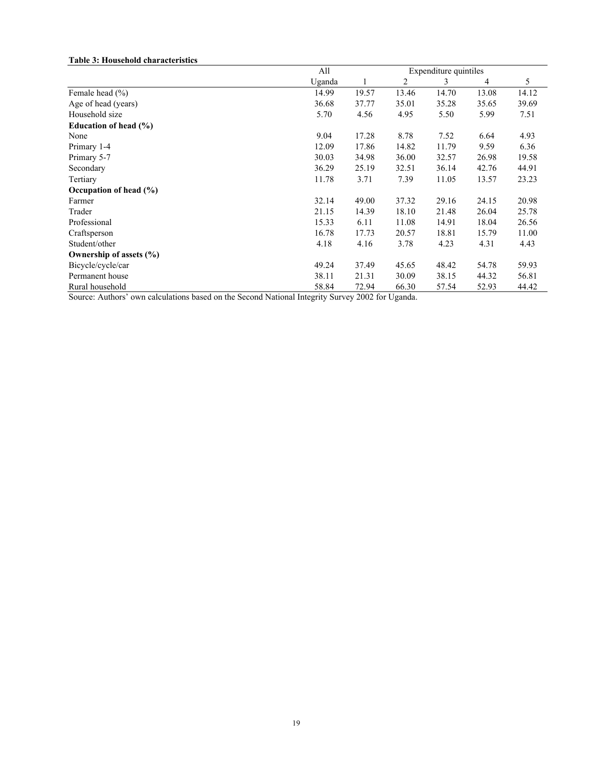### **Table 3: Household characteristics**

|                             | All    |       |       |       | Expenditure quintiles |       |  |
|-----------------------------|--------|-------|-------|-------|-----------------------|-------|--|
|                             | Uganda | 1     | 2     | 3     | 4                     | 5     |  |
| Female head $(\% )$         | 14.99  | 19.57 | 13.46 | 14.70 | 13.08                 | 14.12 |  |
| Age of head (years)         | 36.68  | 37.77 | 35.01 | 35.28 | 35.65                 | 39.69 |  |
| Household size              | 5.70   | 4.56  | 4.95  | 5.50  | 5.99                  | 7.51  |  |
| Education of head (%)       |        |       |       |       |                       |       |  |
| None                        | 9.04   | 17.28 | 8.78  | 7.52  | 6.64                  | 4.93  |  |
| Primary 1-4                 | 12.09  | 17.86 | 14.82 | 11.79 | 9.59                  | 6.36  |  |
| Primary 5-7                 | 30.03  | 34.98 | 36.00 | 32.57 | 26.98                 | 19.58 |  |
| Secondary                   | 36.29  | 25.19 | 32.51 | 36.14 | 42.76                 | 44.91 |  |
| Tertiary                    | 11.78  | 3.71  | 7.39  | 11.05 | 13.57                 | 23.23 |  |
| Occupation of head $(\%)$   |        |       |       |       |                       |       |  |
| Farmer                      | 32.14  | 49.00 | 37.32 | 29.16 | 24.15                 | 20.98 |  |
| Trader                      | 21.15  | 14.39 | 18.10 | 21.48 | 26.04                 | 25.78 |  |
| Professional                | 15.33  | 6.11  | 11.08 | 14.91 | 18.04                 | 26.56 |  |
| Craftsperson                | 16.78  | 17.73 | 20.57 | 18.81 | 15.79                 | 11.00 |  |
| Student/other               | 4.18   | 4.16  | 3.78  | 4.23  | 4.31                  | 4.43  |  |
| Ownership of assets $(\% )$ |        |       |       |       |                       |       |  |
| Bicycle/cycle/car           | 49.24  | 37.49 | 45.65 | 48.42 | 54.78                 | 59.93 |  |
| Permanent house             | 38.11  | 21.31 | 30.09 | 38.15 | 44.32                 | 56.81 |  |
| Rural household             | 58.84  | 72.94 | 66.30 | 57.54 | 52.93                 | 44.42 |  |

Source: Authors' own calculations based on the Second National Integrity Survey 2002 for Uganda.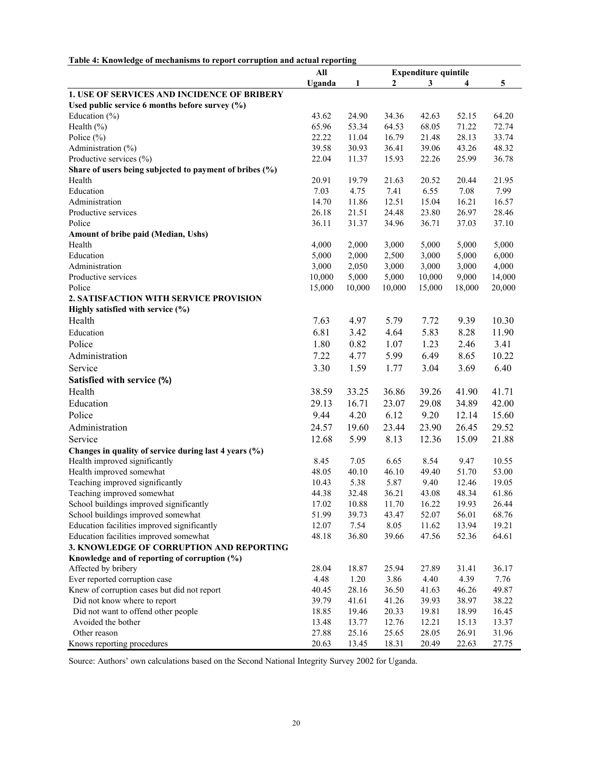## **Table 4: Knowledge of mechanisms to report corruption and actual reporting**

|                                                         | All    |        | <b>Expenditure quintile</b> |        |        |        |
|---------------------------------------------------------|--------|--------|-----------------------------|--------|--------|--------|
|                                                         | Uganda | 1      | 2                           | 3      | 4      | 5      |
| <b>1. USE OF SERVICES AND INCIDENCE OF BRIBERY</b>      |        |        |                             |        |        |        |
| Used public service 6 months before survey $(\% )$      |        |        |                             |        |        |        |
| Education $(\% )$                                       | 43.62  | 24.90  | 34.36                       | 42.63  | 52.15  | 64.20  |
| Health $(\% )$                                          | 65.96  | 53.34  | 64.53                       | 68.05  | 71.22  | 72.74  |
| Police $(\% )$                                          | 22.22  | 11.04  | 16.79                       | 21.48  | 28.13  | 33.74  |
| Administration (%)                                      | 39.58  | 30.93  | 36.41                       | 39.06  | 43.26  | 48.32  |
| Productive services (%)                                 | 22.04  | 11.37  | 15.93                       | 22.26  | 25.99  | 36.78  |
| Share of users being subjected to payment of bribes (%) |        |        |                             |        |        |        |
| Health                                                  | 20.91  | 19.79  | 21.63                       | 20.52  | 20.44  | 21.95  |
| Education                                               | 7.03   | 4.75   | 7.41                        | 6.55   | 7.08   | 7.99   |
| Administration                                          | 14.70  | 11.86  | 12.51                       | 15.04  | 16.21  | 16.57  |
| Productive services                                     | 26.18  | 21.51  | 24.48                       | 23.80  | 26.97  | 28.46  |
| Police                                                  | 36.11  | 31.37  | 34.96                       | 36.71  | 37.03  | 37.10  |
| Amount of bribe paid (Median, Ushs)                     |        |        |                             |        |        |        |
| Health                                                  | 4,000  | 2,000  | 3,000                       | 5,000  | 5,000  | 5,000  |
| Education                                               | 5,000  | 2,000  | 2,500                       | 3,000  | 5,000  | 6,000  |
| Administration                                          | 3,000  | 2,050  | 3,000                       | 3,000  | 3,000  | 4,000  |
| Productive services                                     | 10,000 | 5,000  | 5,000                       | 10,000 | 9,000  | 14,000 |
| Police                                                  | 15,000 | 10,000 | 10,000                      | 15,000 | 18,000 | 20,000 |
| <b>2. SATISFACTION WITH SERVICE PROVISION</b>           |        |        |                             |        |        |        |
| Highly satisfied with service (%)                       |        |        |                             |        |        |        |
| Health                                                  | 7.63   | 4.97   | 5.79                        | 7.72   | 9.39   | 10.30  |
| Education                                               | 6.81   | 3.42   | 4.64                        | 5.83   | 8.28   | 11.90  |
| Police                                                  | 1.80   | 0.82   | 1.07                        | 1.23   | 2.46   | 3.41   |
| Administration                                          | 7.22   | 4.77   | 5.99                        | 6.49   | 8.65   | 10.22  |
| Service                                                 | 3.30   | 1.59   | 1.77                        | 3.04   | 3.69   | 6.40   |
| Satisfied with service (%)                              |        |        |                             |        |        |        |
| Health                                                  | 38.59  | 33.25  | 36.86                       | 39.26  | 41.90  | 41.71  |
| Education                                               | 29.13  | 16.71  | 23.07                       | 29.08  | 34.89  | 42.00  |
| Police                                                  | 9.44   | 4.20   | 6.12                        | 9.20   | 12.14  | 15.60  |
|                                                         |        |        |                             |        |        |        |
| Administration                                          | 24.57  | 19.60  | 23.44                       | 23.90  | 26.45  | 29.52  |
| Service                                                 | 12.68  | 5.99   | 8.13                        | 12.36  | 15.09  | 21.88  |
| Changes in quality of service during last 4 years (%)   |        |        |                             |        |        |        |
| Health improved significantly                           | 8.45   | 7.05   | 6.65                        | 8.54   | 9.47   | 10.55  |
| Health improved somewhat                                | 48.05  | 40.10  | 46.10                       | 49.40  | 51.70  | 53.00  |
| Teaching improved significantly                         | 10.43  | 5.38   | 5.87                        | 9.40   | 12.46  | 19.05  |
| Teaching improved somewhat                              | 44.38  | 32.48  | 36.21                       | 43.08  | 48.34  | 61.86  |
| School buildings improved significantly                 | 17.02  | 10.88  | 11.70                       | 16.22  | 19.93  | 26.44  |
| School buildings improved somewhat                      | 51.99  | 39.73  | 43.47                       | 52.07  | 56.01  | 68.76  |
| Education facilities improved significantly             | 12.07  | 7.54   | 8.05                        | 11.62  | 13.94  | 19.21  |
| Education facilities improved somewhat                  | 48.18  | 36.80  | 39.66                       | 47.56  | 52.36  | 64.61  |
| 3. KNOWLEDGE OF CORRUPTION AND REPORTING                |        |        |                             |        |        |        |
| Knowledge and of reporting of corruption $(\%)$         |        |        |                             |        |        |        |
| Affected by bribery                                     | 28.04  | 18.87  | 25.94                       | 27.89  | 31.41  | 36.17  |
| Ever reported corruption case                           | 4.48   | 1.20   | 3.86                        | 4.40   | 4.39   | 7.76   |
| Knew of corruption cases but did not report             | 40.45  | 28.16  | 36.50                       | 41.63  | 46.26  | 49.87  |
| Did not know where to report                            | 39.79  | 41.61  | 41.26                       | 39.93  | 38.97  | 38.22  |
| Did not want to offend other people                     | 18.85  | 19.46  | 20.33                       | 19.81  | 18.99  | 16.45  |
| Avoided the bother                                      | 13.48  | 13.77  | 12.76                       | 12.21  | 15.13  | 13.37  |
| Other reason                                            | 27.88  | 25.16  | 25.65                       | 28.05  | 26.91  | 31.96  |
| Knows reporting procedures                              | 20.63  | 13.45  | 18.31                       | 20.49  | 22.63  | 27.75  |

Source: Authors' own calculations based on the Second National Integrity Survey 2002 for Uganda.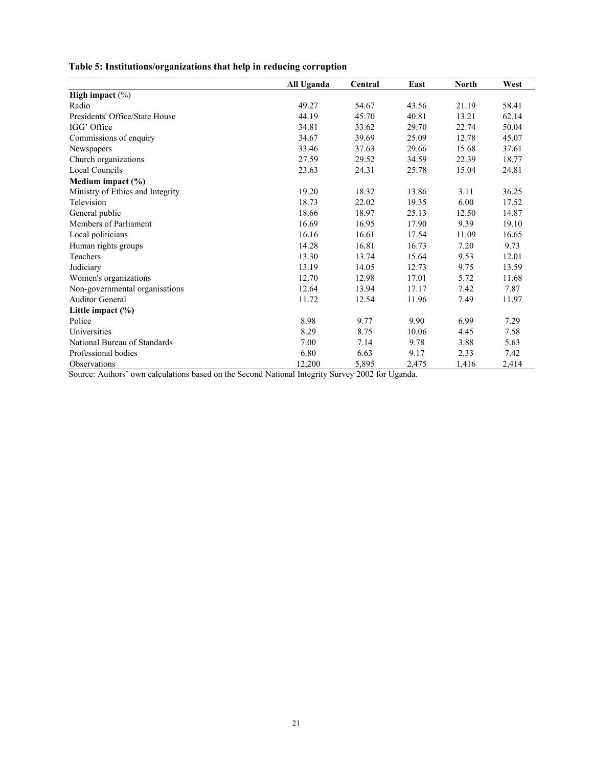|  |  |  | Table 5: Institutions/organizations that help in reducing corruption |
|--|--|--|----------------------------------------------------------------------|
|  |  |  |                                                                      |

|                                  | All Uganda | Central | East  | <b>North</b> | West  |
|----------------------------------|------------|---------|-------|--------------|-------|
| High impact $(\%)$               |            |         |       |              |       |
| Radio                            | 49.27      | 54.67   | 43.56 | 21.19        | 58.41 |
| Presidents' Office/State House   | 44.19      | 45.70   | 40.81 | 13.21        | 62.14 |
| IGG' Office                      | 34.81      | 33.62   | 29.70 | 22.74        | 50.04 |
| Commissions of enquiry           | 34.67      | 39.69   | 25.09 | 12.78        | 45.07 |
| Newspapers                       | 33.46      | 37.63   | 29.66 | 15.68        | 37.61 |
| Church organizations             | 27.59      | 29.52   | 34.59 | 22.39        | 18.77 |
| Local Councils                   | 23.63      | 24.31   | 25.78 | 15.04        | 24.81 |
| Medium impact (%)                |            |         |       |              |       |
| Ministry of Ethics and Integrity | 19.20      | 18.32   | 13.86 | 3.11         | 36.25 |
| Television                       | 18.73      | 22.02   | 19.35 | 6.00         | 17.52 |
| General public                   | 18.66      | 18.97   | 25.13 | 12.50        | 14.87 |
| Members of Parliament            | 16.69      | 16.95   | 17.90 | 9.39         | 19.10 |
| Local politicians                | 16.16      | 16.61   | 17.54 | 11.09        | 16.65 |
| Human rights groups              | 14.28      | 16.81   | 16.73 | 7.20         | 9.73  |
| Teachers                         | 13.30      | 13.74   | 15.64 | 9.53         | 12.01 |
| Judiciary                        | 13.19      | 14.05   | 12.73 | 9.75         | 13.59 |
| Women's organizations            | 12.70      | 12.98   | 17.01 | 5.72         | 11.68 |
| Non-governmental organisations   | 12.64      | 13.94   | 17.17 | 7.42         | 7.87  |
| <b>Auditor General</b>           | 11.72      | 12.54   | 11.96 | 7.49         | 11.97 |
| Little impact $(\%)$             |            |         |       |              |       |
| Police                           | 8.98       | 9.77    | 9.90  | 6.99         | 7.29  |
| Universities                     | 8.29       | 8.75    | 10.06 | 4.45         | 7.58  |
| National Bureau of Standards     | 7.00       | 7.14    | 9.78  | 3.88         | 5.63  |
| Professional bodies              | 6.80       | 6.63    | 9.17  | 2.33         | 7.42  |
| Observations                     | 12,200     | 5,895   | 2,475 | 1,416        | 2,414 |

Source: Authors' own calculations based on the Second National Integrity Survey 2002 for Uganda.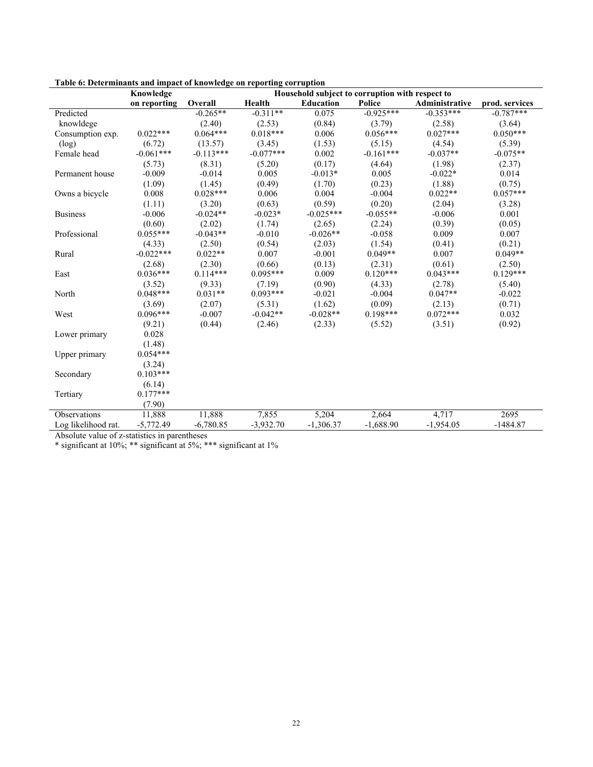|                     | Knowledge    | талк о. вски шпаниз ана пираст от кномисаде он терогинд согтарион<br>Household subject to corruption with respect to |             |                  |             |                |                |
|---------------------|--------------|----------------------------------------------------------------------------------------------------------------------|-------------|------------------|-------------|----------------|----------------|
|                     | on reporting | Overall                                                                                                              | Health      | <b>Education</b> | Police      | Administrative | prod. services |
| Predicted           |              | $-0.265**$                                                                                                           | $-0.311**$  | 0.075            | $-0.925***$ | $-0.353***$    | $-0.787***$    |
| knowldege           |              | (2.40)                                                                                                               | (2.53)      | (0.84)           | (3.79)      | (2.58)         | (3.64)         |
| Consumption exp.    | $0.022***$   | $0.064***$                                                                                                           | $0.018***$  | 0.006            | $0.056***$  | $0.027***$     | $0.050***$     |
| (log)               | (6.72)       | (13.57)                                                                                                              | (3.45)      | (1.53)           | (5.15)      | (4.54)         | (5.39)         |
| Female head         | $-0.061***$  | $-0.113***$                                                                                                          | $-0.077***$ | 0.002            | $-0.161***$ | $-0.037**$     | $-0.075**$     |
|                     | (5.73)       | (8.31)                                                                                                               | (5.20)      | (0.17)           | (4.64)      | (1.98)         | (2.37)         |
| Permanent house     | $-0.009$     | $-0.014$                                                                                                             | 0.005       | $-0.013*$        | 0.005       | $-0.022*$      | 0.014          |
|                     | (1.09)       | (1.45)                                                                                                               | (0.49)      | (1.70)           | (0.23)      | (1.88)         | (0.75)         |
| Owns a bicycle      | 0.008        | $0.028***$                                                                                                           | 0.006       | 0.004            | $-0.004$    | $0.022**$      | $0.057***$     |
|                     | (1.11)       | (3.20)                                                                                                               | (0.63)      | (0.59)           | (0.20)      | (2.04)         | (3.28)         |
| <b>Business</b>     | $-0.006$     | $-0.024**$                                                                                                           | $-0.023*$   | $-0.025***$      | $-0.055**$  | $-0.006$       | 0.001          |
|                     | (0.60)       | (2.02)                                                                                                               | (1.74)      | (2.65)           | (2.24)      | (0.39)         | (0.05)         |
| Professional        | $0.055***$   | $-0.043**$                                                                                                           | $-0.010$    | $-0.026**$       | $-0.058$    | 0.009          | 0.007          |
|                     | (4.33)       | (2.50)                                                                                                               | (0.54)      | (2.03)           | (1.54)      | (0.41)         | (0.21)         |
| Rural               | $-0.022***$  | $0.022**$                                                                                                            | 0.007       | $-0.001$         | $0.049**$   | 0.007          | $0.049**$      |
|                     | (2.68)       | (2.30)                                                                                                               | (0.66)      | (0.13)           | (2.31)      | (0.61)         | (2.50)         |
| East                | $0.036***$   | $0.114***$                                                                                                           | $0.095***$  | 0.009            | $0.120***$  | $0.043***$     | $0.129***$     |
|                     | (3.52)       | (9.33)                                                                                                               | (7.19)      | (0.90)           | (4.33)      | (2.78)         | (5.40)         |
| North               | $0.048***$   | $0.031**$                                                                                                            | $0.093***$  | $-0.021$         | $-0.004$    | $0.047**$      | $-0.022$       |
|                     | (3.69)       | (2.07)                                                                                                               | (5.31)      | (1.62)           | (0.09)      | (2.13)         | (0.71)         |
| West                | $0.096***$   | $-0.007$                                                                                                             | $-0.042**$  | $-0.028**$       | $0.198***$  | $0.072***$     | 0.032          |
|                     | (9.21)       | (0.44)                                                                                                               | (2.46)      | (2.33)           | (5.52)      | (3.51)         | (0.92)         |
| Lower primary       | 0.028        |                                                                                                                      |             |                  |             |                |                |
|                     | (1.48)       |                                                                                                                      |             |                  |             |                |                |
| Upper primary       | $0.054***$   |                                                                                                                      |             |                  |             |                |                |
|                     | (3.24)       |                                                                                                                      |             |                  |             |                |                |
| Secondary           | $0.103***$   |                                                                                                                      |             |                  |             |                |                |
|                     | (6.14)       |                                                                                                                      |             |                  |             |                |                |
| Tertiary            | $0.177***$   |                                                                                                                      |             |                  |             |                |                |
|                     | (7.90)       |                                                                                                                      |             |                  |             |                |                |
| Observations        | 11,888       | 11,888                                                                                                               | 7,855       | 5,204            | 2,664       | 4,717          | 2695           |
| Log likelihood rat. | $-5,772.49$  | $-6,780.85$                                                                                                          | $-3,932.70$ | $-1,306.37$      | $-1,688.90$ | $-1,954.05$    | $-1484.87$     |

**Table 6: Determinants and impact of knowledge on reporting corruption** 

Absolute value of z-statistics in parentheses

\* significant at 10%; \*\* significant at 5%; \*\*\* significant at 1%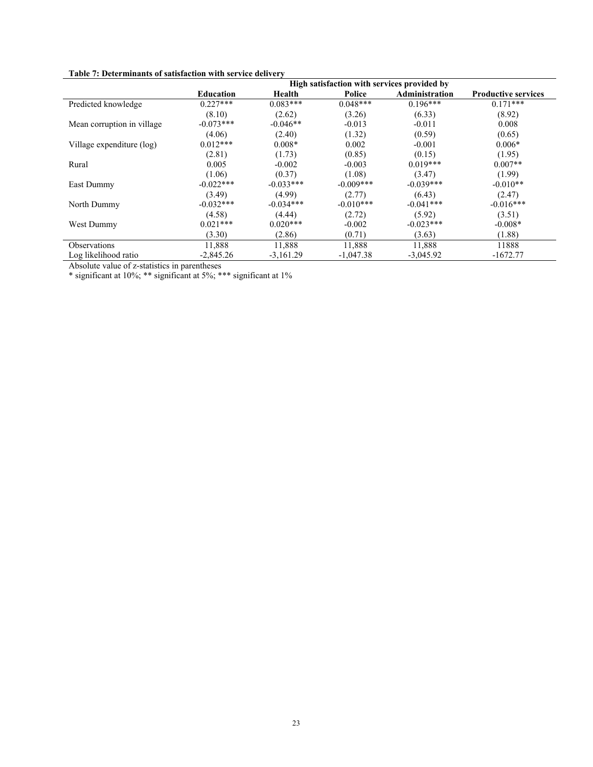|  | Table 7: Determinants of satisfaction with service delivery |  |  |
|--|-------------------------------------------------------------|--|--|
|  |                                                             |  |  |

|                             | High satisfaction with services provided by |             |             |                |                            |  |  |
|-----------------------------|---------------------------------------------|-------------|-------------|----------------|----------------------------|--|--|
|                             | <b>Education</b>                            | Health      | Police      | Administration | <b>Productive services</b> |  |  |
| Predicted knowledge         | $0.227***$                                  | $0.083***$  | $0.048***$  | $0.196***$     | $0.171***$                 |  |  |
|                             | (8.10)                                      | (2.62)      | (3.26)      | (6.33)         | (8.92)                     |  |  |
| Mean corruption in village. | $-0.073***$                                 | $-0.046**$  | $-0.013$    | $-0.011$       | 0.008                      |  |  |
|                             | (4.06)                                      | (2.40)      | (1.32)      | (0.59)         | (0.65)                     |  |  |
| Village expenditure (log)   | $0.012***$                                  | $0.008*$    | 0.002       | $-0.001$       | $0.006*$                   |  |  |
|                             | (2.81)                                      | (1.73)      | (0.85)      | (0.15)         | (1.95)                     |  |  |
| Rural                       | 0.005                                       | $-0.002$    | $-0.003$    | $0.019***$     | $0.007**$                  |  |  |
|                             | (1.06)                                      | (0.37)      | (1.08)      | (3.47)         | (1.99)                     |  |  |
| East Dummy                  | $-0.022***$                                 | $-0.033***$ | $-0.009***$ | $-0.039***$    | $-0.010**$                 |  |  |
|                             | (3.49)                                      | (4.99)      | (2.77)      | (6.43)         | (2.47)                     |  |  |
| North Dummy                 | $-0.032***$                                 | $-0.034***$ | $-0.010***$ | $-0.041***$    | $-0.016***$                |  |  |
|                             | (4.58)                                      | (4.44)      | (2.72)      | (5.92)         | (3.51)                     |  |  |
| West Dummy                  | $0.021***$                                  | $0.020***$  | $-0.002$    | $-0.023***$    | $-0.008*$                  |  |  |
|                             | (3.30)                                      | (2.86)      | (0.71)      | (3.63)         | (1.88)                     |  |  |
| <i><b>Observations</b></i>  | 11,888                                      | 11,888      | 11,888      | 11,888         | 11888                      |  |  |
| Log likelihood ratio        | $-2,845.26$                                 | $-3.161.29$ | $-1,047.38$ | $-3.045.92$    | $-1672.77$                 |  |  |

Absolute value of z-statistics in parentheses

\* significant at 10%; \*\* significant at 5%; \*\*\* significant at 1%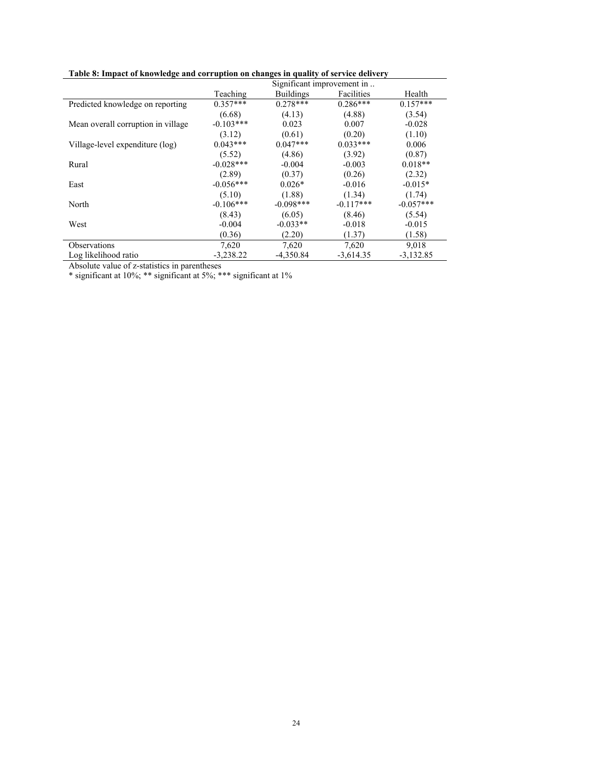**Table 8: Impact of knowledge and corruption on changes in quality of service delivery** 

|                                     | Significant improvement in |                  |             |             |  |  |  |
|-------------------------------------|----------------------------|------------------|-------------|-------------|--|--|--|
|                                     | Teaching                   | <b>Buildings</b> | Facilities  | Health      |  |  |  |
| Predicted knowledge on reporting    | $0.357***$                 | $0.278***$       | $0.286***$  | $0.157***$  |  |  |  |
|                                     | (6.68)                     | (4.13)           | (4.88)      | (3.54)      |  |  |  |
| Mean overall corruption in village. | $-0.103***$                | 0.023            | 0.007       | $-0.028$    |  |  |  |
|                                     | (3.12)                     | (0.61)           | (0.20)      | (1.10)      |  |  |  |
| Village-level expenditure (log)     | $0.043***$                 | $0.047***$       | $0.033***$  | 0.006       |  |  |  |
|                                     | (5.52)                     | (4.86)           | (3.92)      | (0.87)      |  |  |  |
| Rural                               | $-0.028***$                | $-0.004$         | $-0.003$    | $0.018**$   |  |  |  |
|                                     | (2.89)                     | (0.37)           | (0.26)      | (2.32)      |  |  |  |
| East                                | $-0.056***$                | $0.026*$         | $-0.016$    | $-0.015*$   |  |  |  |
|                                     | (5.10)                     | (1.88)           | (1.34)      | (1.74)      |  |  |  |
| North                               | $-0.106***$                | $-0.098***$      | $-0.117***$ | $-0.057***$ |  |  |  |
|                                     | (8.43)                     | (6.05)           | (8.46)      | (5.54)      |  |  |  |
| West                                | $-0.004$                   | $-0.033**$       | $-0.018$    | $-0.015$    |  |  |  |
|                                     | (0.36)                     | (2.20)           | (1.37)      | (1.58)      |  |  |  |
| <b>Observations</b>                 | 7,620                      | 7,620            | 7,620       | 9,018       |  |  |  |
| Log likelihood ratio                | $-3,238.22$                | $-4,350.84$      | $-3,614.35$ | $-3,132.85$ |  |  |  |

Absolute value of z-statistics in parentheses

\* significant at 10%; \*\* significant at 5%; \*\*\* significant at 1%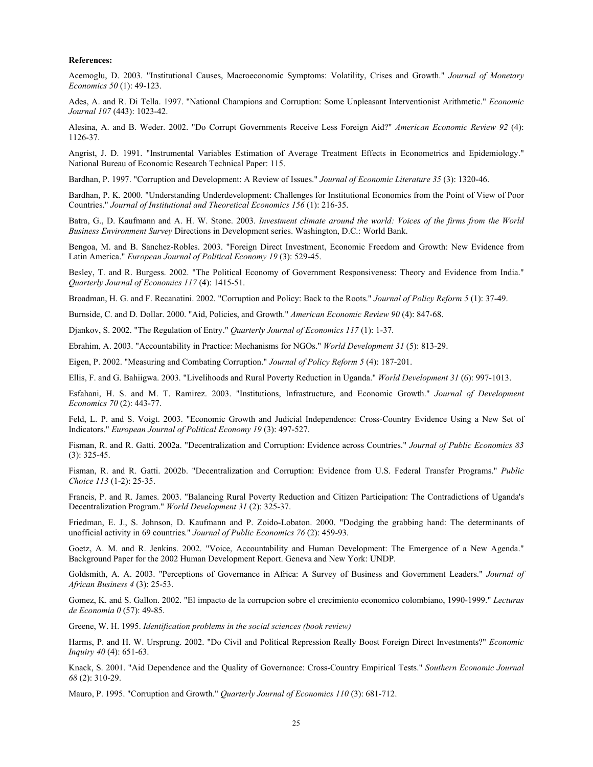#### **References:**

Acemoglu, D. 2003. "Institutional Causes, Macroeconomic Symptoms: Volatility, Crises and Growth." *Journal of Monetary Economics 50* (1): 49-123.

Ades, A. and R. Di Tella. 1997. "National Champions and Corruption: Some Unpleasant Interventionist Arithmetic." *Economic Journal 107* (443): 1023-42.

Alesina, A. and B. Weder. 2002. "Do Corrupt Governments Receive Less Foreign Aid?" *American Economic Review 92* (4): 1126-37.

Angrist, J. D. 1991. "Instrumental Variables Estimation of Average Treatment Effects in Econometrics and Epidemiology." National Bureau of Economic Research Technical Paper: 115.

Bardhan, P. 1997. "Corruption and Development: A Review of Issues." *Journal of Economic Literature 35* (3): 1320-46.

Bardhan, P. K. 2000. "Understanding Underdevelopment: Challenges for Institutional Economics from the Point of View of Poor Countries." *Journal of Institutional and Theoretical Economics 156* (1): 216-35.

Batra, G., D. Kaufmann and A. H. W. Stone. 2003. *Investment climate around the world: Voices of the firms from the World Business Environment Survey* Directions in Development series. Washington, D.C.: World Bank.

Bengoa, M. and B. Sanchez-Robles. 2003. "Foreign Direct Investment, Economic Freedom and Growth: New Evidence from Latin America." *European Journal of Political Economy 19* (3): 529-45.

Besley, T. and R. Burgess. 2002. "The Political Economy of Government Responsiveness: Theory and Evidence from India." *Quarterly Journal of Economics 117* (4): 1415-51.

Broadman, H. G. and F. Recanatini. 2002. "Corruption and Policy: Back to the Roots." *Journal of Policy Reform 5* (1): 37-49.

Burnside, C. and D. Dollar. 2000. "Aid, Policies, and Growth." *American Economic Review 90* (4): 847-68.

Djankov, S. 2002. "The Regulation of Entry." *Quarterly Journal of Economics 117* (1): 1-37.

Ebrahim, A. 2003. "Accountability in Practice: Mechanisms for NGOs." *World Development 31* (5): 813-29.

Eigen, P. 2002. "Measuring and Combating Corruption." *Journal of Policy Reform 5* (4): 187-201.

Ellis, F. and G. Bahiigwa. 2003. "Livelihoods and Rural Poverty Reduction in Uganda." *World Development 31* (6): 997-1013.

Esfahani, H. S. and M. T. Ramirez. 2003. "Institutions, Infrastructure, and Economic Growth." *Journal of Development Economics 70* (2): 443-77.

Feld, L. P. and S. Voigt. 2003. "Economic Growth and Judicial Independence: Cross-Country Evidence Using a New Set of Indicators." *European Journal of Political Economy 19* (3): 497-527.

Fisman, R. and R. Gatti. 2002a. "Decentralization and Corruption: Evidence across Countries." *Journal of Public Economics 83* (3): 325-45.

Fisman, R. and R. Gatti. 2002b. "Decentralization and Corruption: Evidence from U.S. Federal Transfer Programs." *Public Choice 113* (1-2): 25-35.

Francis, P. and R. James. 2003. "Balancing Rural Poverty Reduction and Citizen Participation: The Contradictions of Uganda's Decentralization Program." *World Development 31* (2): 325-37.

Friedman, E. J., S. Johnson, D. Kaufmann and P. Zoido-Lobaton. 2000. "Dodging the grabbing hand: The determinants of unofficial activity in 69 countries." *Journal of Public Economics 76* (2): 459-93.

Goetz, A. M. and R. Jenkins. 2002. "Voice, Accountability and Human Development: The Emergence of a New Agenda." Background Paper for the 2002 Human Development Report. Geneva and New York: UNDP.

Goldsmith, A. A. 2003. "Perceptions of Governance in Africa: A Survey of Business and Government Leaders." *Journal of African Business 4* (3): 25-53.

Gomez, K. and S. Gallon. 2002. "El impacto de la corrupcion sobre el crecimiento economico colombiano, 1990-1999." *Lecturas de Economia 0* (57): 49-85.

Greene, W. H. 1995. *Identification problems in the social sciences (book review)* 

Harms, P. and H. W. Ursprung. 2002. "Do Civil and Political Repression Really Boost Foreign Direct Investments?" *Economic Inquiry 40* (4): 651-63.

Knack, S. 2001. "Aid Dependence and the Quality of Governance: Cross-Country Empirical Tests." *Southern Economic Journal 68* (2): 310-29.

Mauro, P. 1995. "Corruption and Growth." *Quarterly Journal of Economics 110* (3): 681-712.